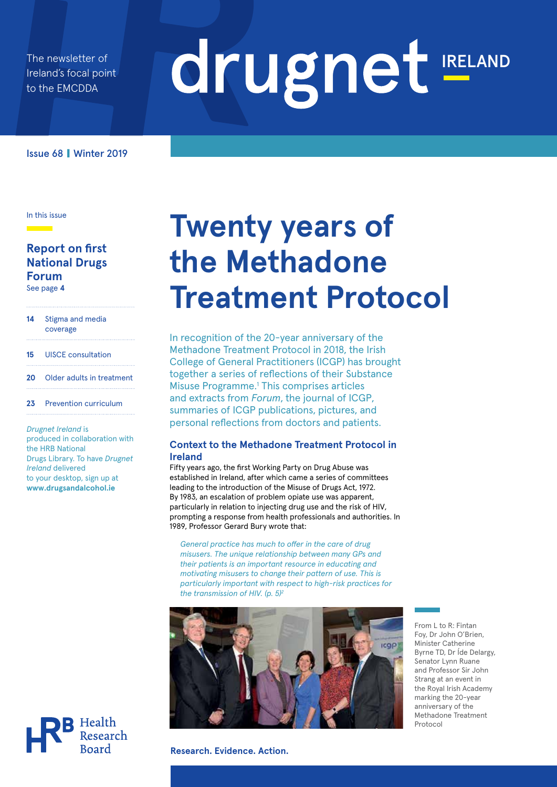The newsletter of Ireland's focal point to the EMCDDA

# drugnet IRELAND

Issue 68 **|** Winter 2019

In this issue

<u> a shekara t</u>

#### **Report on first National Drugs Forum**  See page **4**

- **14** Stigma and media
- coverage
- **15** UISCE consultation
- **20** Older adults in treatment
- **23** Prevention curriculum

*Drugnet Ireland* is produced in collaboration with the HRB National Drugs Library. To have *Drugnet Ireland* delivered to your desktop, sign up at **www.drugsandalcohol.ie** 



# **Twenty years of the Methadone Treatment Protocol**

In recognition of the 20-year anniversary of the Methadone Treatment Protocol in 2018, the Irish College of General Practitioners (ICGP) has brought together a series of reflections of their Substance Misuse Programme.<sup>1</sup> This comprises articles and extracts from *Forum*, the journal of ICGP, summaries of ICGP publications, pictures, and personal reflections from doctors and patients.

#### **Context to the Methadone Treatment Protocol in Ireland**

Fifty years ago, the first Working Party on Drug Abuse was established in Ireland, after which came a series of committees leading to the introduction of the Misuse of Drugs Act, 1972. By 1983, an escalation of problem opiate use was apparent, particularly in relation to injecting drug use and the risk of HIV, prompting a response from health professionals and authorities. In 1989, Professor Gerard Bury wrote that:

*General practice has much to offer in the care of drug misusers. The unique relationship between many GPs and their patients is an important resource in educating and motivating misusers to change their pattern of use. This is particularly important with respect to high-risk practices for the transmission of HIV. (p. 5)2* 



**Research. Evidence. Action.**

From L to R: Fintan Foy, Dr John O'Brien, Minister Catherine Byrne TD, Dr Íde Delargy, Senator Lynn Ruane and Professor Sir John Strang at an event in the Royal Irish Academy marking the 20-year anniversary of the Methadone Treatment Protocol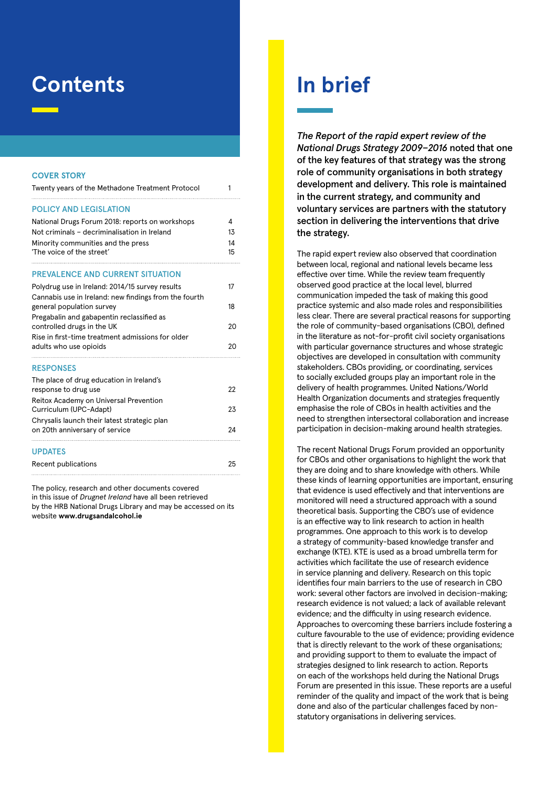# **Contents**

#### **COVER STORY**

| Twenty years of the Methadone Treatment Protocol                                   |    |  |  |  |  |  |
|------------------------------------------------------------------------------------|----|--|--|--|--|--|
| <b>POLICY AND LEGISLATION</b>                                                      |    |  |  |  |  |  |
| National Drugs Forum 2018: reports on workshops                                    | 4  |  |  |  |  |  |
| Not criminals - decriminalisation in Ireland                                       | 13 |  |  |  |  |  |
| Minority communities and the press                                                 | 14 |  |  |  |  |  |
| 'The voice of the street'                                                          | 15 |  |  |  |  |  |
| <b>PREVALENCE AND CURRENT SITUATION</b>                                            |    |  |  |  |  |  |
| Polydrug use in Ireland: 2014/15 survey results                                    | 17 |  |  |  |  |  |
| Cannabis use in Ireland: new findings from the fourth<br>general population survey | 18 |  |  |  |  |  |
| Pregabalin and gabapentin reclassified as                                          |    |  |  |  |  |  |
| controlled drugs in the UK                                                         | 20 |  |  |  |  |  |
| Rise in first-time treatment admissions for older                                  |    |  |  |  |  |  |
| adults who use opioids                                                             | 20 |  |  |  |  |  |
| <b>RESPONSES</b>                                                                   |    |  |  |  |  |  |
| The place of drug education in Ireland's                                           |    |  |  |  |  |  |
| response to drug use                                                               | 22 |  |  |  |  |  |
| Reitox Academy on Universal Prevention                                             |    |  |  |  |  |  |
| Curriculum (UPC-Adapt)                                                             | 23 |  |  |  |  |  |
| Chrysalis launch their latest strategic plan<br>on 20th anniversary of service     | 24 |  |  |  |  |  |
|                                                                                    |    |  |  |  |  |  |
| <b>UPDATES</b>                                                                     |    |  |  |  |  |  |
| Recent publications                                                                | 25 |  |  |  |  |  |

The policy, research and other documents covered in this issue of *Drugnet Ireland* have all been retrieved by the HRB National Drugs Library and may be accessed on its website **www.drugsandalcohol.ie**

# **In brief**

*The Report of the rapid expert review of the National Drugs Strategy 2009−2016* noted that one of the key features of that strategy was the strong role of community organisations in both strategy development and delivery. This role is maintained in the current strategy, and community and voluntary services are partners with the statutory section in delivering the interventions that drive the strategy.

The rapid expert review also observed that coordination between local, regional and national levels became less effective over time. While the review team frequently observed good practice at the local level, blurred communication impeded the task of making this good practice systemic and also made roles and responsibilities less clear. There are several practical reasons for supporting the role of community-based organisations (CBO), defined in the literature as not-for-profit civil society organisations with particular governance structures and whose strategic objectives are developed in consultation with community stakeholders. CBOs providing, or coordinating, services to socially excluded groups play an important role in the delivery of health programmes. United Nations/World Health Organization documents and strategies frequently emphasise the role of CBOs in health activities and the need to strengthen intersectoral collaboration and increase participation in decision-making around health strategies.

The recent National Drugs Forum provided an opportunity for CBOs and other organisations to highlight the work that they are doing and to share knowledge with others. While these kinds of learning opportunities are important, ensuring that evidence is used effectively and that interventions are monitored will need a structured approach with a sound theoretical basis. Supporting the CBO's use of evidence is an effective way to link research to action in health programmes. One approach to this work is to develop a strategy of community-based knowledge transfer and exchange (KTE). KTE is used as a broad umbrella term for activities which facilitate the use of research evidence in service planning and delivery. Research on this topic identifies four main barriers to the use of research in CBO work: several other factors are involved in decision-making; research evidence is not valued; a lack of available relevant evidence; and the difficulty in using research evidence. Approaches to overcoming these barriers include fostering a culture favourable to the use of evidence; providing evidence that is directly relevant to the work of these organisations; and providing support to them to evaluate the impact of strategies designed to link research to action. Reports on each of the workshops held during the National Drugs Forum are presented in this issue. These reports are a useful reminder of the quality and impact of the work that is being done and also of the particular challenges faced by nonstatutory organisations in delivering services.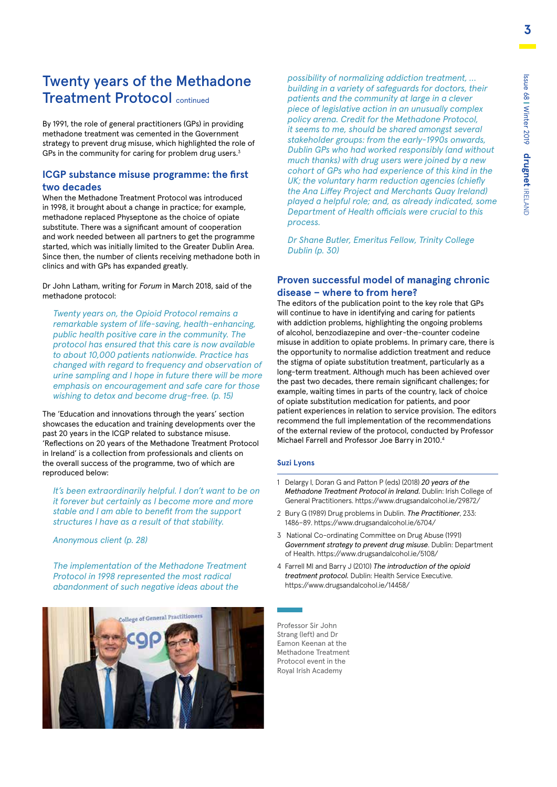### Twenty years of the Methadone Treatment Protocol continued

By 1991, the role of general practitioners (GPs) in providing methadone treatment was cemented in the Government strategy to prevent drug misuse, which highlighted the role of GPs in the community for caring for problem drug users. $3$ 

#### **ICGP substance misuse programme: the first two decades**

When the Methadone Treatment Protocol was introduced in 1998, it brought about a change in practice; for example, methadone replaced Physeptone as the choice of opiate substitute. There was a significant amount of cooperation and work needed between all partners to get the programme started, which was initially limited to the Greater Dublin Area. Since then, the number of clients receiving methadone both in clinics and with GPs has expanded greatly.

Dr John Latham, writing for *Forum* in March 2018, said of the methadone protocol:

*Twenty years on, the Opioid Protocol remains a remarkable system of life-saving, health-enhancing, public health positive care in the community. The protocol has ensured that this care is now available to about 10,000 patients nationwide. Practice has changed with regard to frequency and observation of urine sampling and I hope in future there will be more emphasis on encouragement and safe care for those wishing to detox and become drug-free. (p. 15)*

The 'Education and innovations through the years' section showcases the education and training developments over the past 20 years in the ICGP related to substance misuse. 'Reflections on 20 years of the Methadone Treatment Protocol in Ireland' is a collection from professionals and clients on the overall success of the programme, two of which are reproduced below:

*It's been extraordinarily helpful. I don't want to be on it forever but certainly as I become more and more stable and I am able to benefit from the support structures I have as a result of that stability.* 

*Anonymous client (p. 28)*

*The implementation of the Methadone Treatment Protocol in 1998 represented the most radical abandonment of such negative ideas about the* 



*possibility of normalizing addiction treatment, … building in a variety of safeguards for doctors, their patients and the community at large in a clever piece of legislative action in an unusually complex policy arena. Credit for the Methadone Protocol, it seems to me, should be shared amongst several stakeholder groups: from the early-1990s onwards, Dublin GPs who had worked responsibly (and without much thanks) with drug users were joined by a new cohort of GPs who had experience of this kind in the UK; the voluntary harm reduction agencies (chiefly the Ana Liffey Project and Merchants Quay Ireland) played a helpful role; and, as already indicated, some Department of Health officials were crucial to this process.* 

*Dr Shane Butler, Emeritus Fellow, Trinity College Dublin (p. 30)*

#### **Proven successful model of managing chronic disease – where to from here?**

The editors of the publication point to the key role that GPs will continue to have in identifying and caring for patients with addiction problems, highlighting the ongoing problems of alcohol, benzodiazepine and over-the-counter codeine misuse in addition to opiate problems. In primary care, there is the opportunity to normalise addiction treatment and reduce the stigma of opiate substitution treatment, particularly as a long-term treatment. Although much has been achieved over the past two decades, there remain significant challenges; for example, waiting times in parts of the country, lack of choice of opiate substitution medication for patients, and poor patient experiences in relation to service provision. The editors recommend the full implementation of the recommendations of the external review of the protocol, conducted by Professor Michael Farrell and Professor Joe Barry in 2010.4

#### **Suzi Lyons**

- 1 Delargy I, Doran G and Patton P (eds) (2018) *20 years of the Methadone Treatment Protocol in Ireland.* Dublin: Irish College of General Practitioners. https://www.drugsandalcohol.ie/29872/
- 2 Bury G (1989) Drug problems in Dublin. *The Practitioner*, 233: 1486–89. https://www.drugsandalcohol.ie/6704/
- 3 National Co-ordinating Committee on Drug Abuse (1991) *Government strategy to prevent drug misuse*. Dublin: Department of Health. https://www.drugsandalcohol.ie/5108/
- 4 Farrell Ml and Barry J (2010) *The introduction of the opioid treatment protocol.* Dublin: Health Service Executive. https://www.drugsandalcohol.ie/14458/

Professor Sir John Strang (left) and Dr Eamon Keenan at the Methadone Treatment Protocol event in the Royal Irish Academy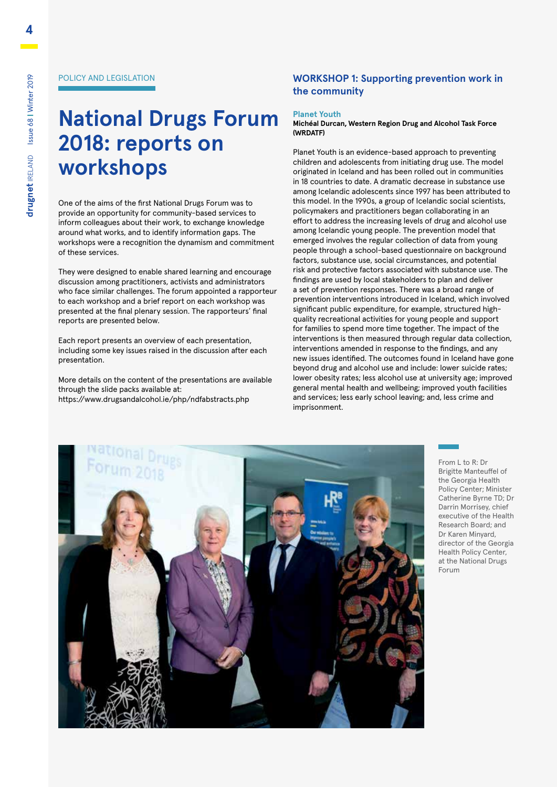#### POLICY AND LEGISLATION

# **National Drugs Forum 2018: reports on workshops**

One of the aims of the first National Drugs Forum was to provide an opportunity for community-based services to inform colleagues about their work, to exchange knowledge around what works, and to identify information gaps. The workshops were a recognition the dynamism and commitment of these services.

They were designed to enable shared learning and encourage discussion among practitioners, activists and administrators who face similar challenges. The forum appointed a rapporteur to each workshop and a brief report on each workshop was presented at the final plenary session. The rapporteurs' final reports are presented below.

Each report presents an overview of each presentation, including some key issues raised in the discussion after each presentation.

More details on the content of the presentations are available through the slide packs available at: https://www.drugsandalcohol.ie/php/ndfabstracts.php

#### **WORKSHOP 1: Supporting prevention work in the community**

#### **Planet Youth**

**Michéal Durcan, Western Region Drug and Alcohol Task Force (WRDATF)**

Planet Youth is an evidence-based approach to preventing children and adolescents from initiating drug use. The model originated in Iceland and has been rolled out in communities in 18 countries to date. A dramatic decrease in substance use among Icelandic adolescents since 1997 has been attributed to this model. In the 1990s, a group of Icelandic social scientists, policymakers and practitioners began collaborating in an effort to address the increasing levels of drug and alcohol use among Icelandic young people. The prevention model that emerged involves the regular collection of data from young people through a school-based questionnaire on background factors, substance use, social circumstances, and potential risk and protective factors associated with substance use. The findings are used by local stakeholders to plan and deliver a set of prevention responses. There was a broad range of prevention interventions introduced in Iceland, which involved significant public expenditure, for example, structured highquality recreational activities for young people and support for families to spend more time together. The impact of the interventions is then measured through regular data collection, interventions amended in response to the findings, and any new issues identified. The outcomes found in Iceland have gone beyond drug and alcohol use and include: lower suicide rates; lower obesity rates; less alcohol use at university age; improved general mental health and wellbeing; improved youth facilities and services; less early school leaving; and, less crime and imprisonment.



From L to R: Dr Brigitte Manteuffel of the Georgia Health Policy Center; Minister Catherine Byrne TD; Dr Darrin Morrisey, chief executive of the Health Research Board; and Dr Karen Minyard, director of the Georgia Health Policy Center, at the National Drugs Forum

**4**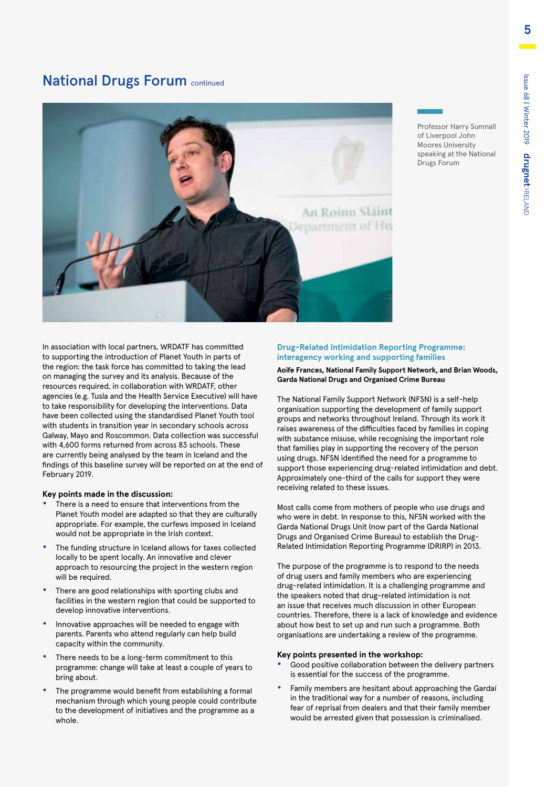Professor Harry Sumnall of Liverpool John Moores University speaking at the National

Drugs Forum

### **National Drugs Forum continued**



In association with local partners, WRDATF has committed to supporting the introduction of Planet Youth in parts of the region: the task force has committed to taking the lead on managing the survey and its analysis. Because of the resources required, in collaboration with WRDATF, other agencies (e.g. Tusla and the Health Service Executive) will have to take responsibility for developing the interventions. Data have been collected using the standardised Planet Youth tool with students in transition year in secondary schools across Galway, Mayo and Roscommon. Data collection was successful with 4,600 forms returned from across 83 schools. These are currently being analysed by the team in Iceland and the findings of this baseline survey will be reported on at the end of February 2019.

#### **Key points made in the discussion:**

- **•** There is a need to ensure that interventions from the Planet Youth model are adapted so that they are culturally appropriate. For example, the curfews imposed in Iceland would not be appropriate in the Irish context.
- **•** The funding structure in Iceland allows for taxes collected locally to be spent locally. An innovative and clever approach to resourcing the project in the western region will be required.
- **•** There are good relationships with sporting clubs and facilities in the western region that could be supported to develop innovative interventions.
- **•** Innovative approaches will be needed to engage with parents. Parents who attend regularly can help build capacity within the community.
- **•** There needs to be a long-term commitment to this programme: change will take at least a couple of years to bring about.
- **•** The programme would benefit from establishing a formal mechanism through which young people could contribute to the development of initiatives and the programme as a whole.

#### **Drug-Related Intimidation Reporting Programme: interagency working and supporting families**

#### **Aoife Frances, National Family Support Network, and Brian Woods, Garda National Drugs and Organised Crime Bureau**

The National Family Support Network (NFSN) is a self-help organisation supporting the development of family support groups and networks throughout Ireland. Through its work it raises awareness of the difficulties faced by families in coping with substance misuse, while recognising the important role that families play in supporting the recovery of the person using drugs. NFSN identified the need for a programme to support those experiencing drug-related intimidation and debt. Approximately one-third of the calls for support they were receiving related to these issues.

Most calls come from mothers of people who use drugs and who were in debt. In response to this, NFSN worked with the Garda National Drugs Unit (now part of the Garda National Drugs and Organised Crime Bureau) to establish the Drug-Related Intimidation Reporting Programme (DRIRP) in 2013.

The purpose of the programme is to respond to the needs of drug users and family members who are experiencing drug-related intimidation. It is a challenging programme and the speakers noted that drug-related intimidation is not an issue that receives much discussion in other European countries. Therefore, there is a lack of knowledge and evidence about how best to set up and run such a programme. Both organisations are undertaking a review of the programme.

#### **Key points presented in the workshop:**

- **•** Good positive collaboration between the delivery partners is essential for the success of the programme.
- **•** Family members are hesitant about approaching the Gardaí in the traditional way for a number of reasons, including fear of reprisal from dealers and that their family member would be arrested given that possession is criminalised.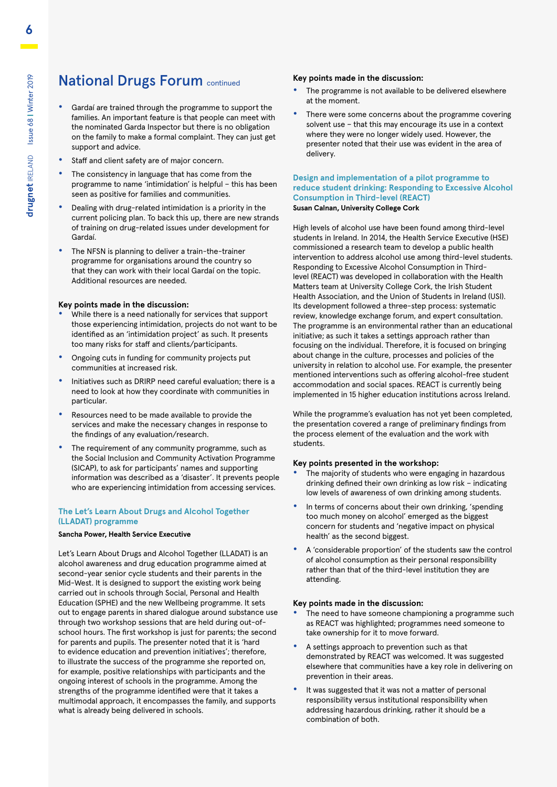### **National Drugs Forum continued**

- **•** Gardaí are trained through the programme to support the families. An important feature is that people can meet with the nominated Garda Inspector but there is no obligation on the family to make a formal complaint. They can just get support and advice.
- **•** Staff and client safety are of major concern.
- **•** The consistency in language that has come from the programme to name 'intimidation' is helpful – this has been seen as positive for families and communities.
- **•** Dealing with drug-related intimidation is a priority in the current policing plan. To back this up, there are new strands of training on drug-related issues under development for Gardaí.
- **•** The NFSN is planning to deliver a train-the-trainer programme for organisations around the country so that they can work with their local Gardaí on the topic. Additional resources are needed.

#### **Key points made in the discussion:**

- **•** While there is a need nationally for services that support those experiencing intimidation, projects do not want to be identified as an 'intimidation project' as such. It presents too many risks for staff and clients/participants.
- **•** Ongoing cuts in funding for community projects put communities at increased risk.
- **•** Initiatives such as DRIRP need careful evaluation; there is a need to look at how they coordinate with communities in particular.
- **•** Resources need to be made available to provide the services and make the necessary changes in response to the findings of any evaluation/research.
- **•** The requirement of any community programme, such as the Social Inclusion and Community Activation Programme (SICAP), to ask for participants' names and supporting information was described as a 'disaster'. It prevents people who are experiencing intimidation from accessing services.

#### **The Let's Learn About Drugs and Alcohol Together (LLADAT) programme**

#### **Sancha Power, Health Service Executive**

Let's Learn About Drugs and Alcohol Together (LLADAT) is an alcohol awareness and drug education programme aimed at second-year senior cycle students and their parents in the Mid-West. It is designed to support the existing work being carried out in schools through Social, Personal and Health Education (SPHE) and the new Wellbeing programme. It sets out to engage parents in shared dialogue around substance use through two workshop sessions that are held during out-ofschool hours. The first workshop is just for parents; the second for parents and pupils. The presenter noted that it is 'hard to evidence education and prevention initiatives'; therefore, to illustrate the success of the programme she reported on, for example, positive relationships with participants and the ongoing interest of schools in the programme. Among the strengths of the programme identified were that it takes a multimodal approach, it encompasses the family, and supports what is already being delivered in schools.

#### **Key points made in the discussion:**

- **•** The programme is not available to be delivered elsewhere at the moment.
- **•** There were some concerns about the programme covering solvent use – that this may encourage its use in a context where they were no longer widely used. However, the presenter noted that their use was evident in the area of delivery.

#### **Design and implementation of a pilot programme to reduce student drinking: Responding to Excessive Alcohol Consumption in Third-level (REACT) Susan Calnan, University College Cork**

High levels of alcohol use have been found among third-level students in Ireland. In 2014, the Health Service Executive (HSE) commissioned a research team to develop a public health intervention to address alcohol use among third-level students. Responding to Excessive Alcohol Consumption in Thirdlevel (REACT) was developed in collaboration with the Health Matters team at University College Cork, the Irish Student Health Association, and the Union of Students in Ireland (USI). Its development followed a three-step process: systematic review, knowledge exchange forum, and expert consultation. The programme is an environmental rather than an educational initiative; as such it takes a settings approach rather than focusing on the individual. Therefore, it is focused on bringing about change in the culture, processes and policies of the university in relation to alcohol use. For example, the presenter mentioned interventions such as offering alcohol-free student accommodation and social spaces. REACT is currently being implemented in 15 higher education institutions across Ireland.

While the programme's evaluation has not yet been completed, the presentation covered a range of preliminary findings from the process element of the evaluation and the work with students.

#### **Key points presented in the workshop:**

- **•** The majority of students who were engaging in hazardous drinking defined their own drinking as low risk – indicating low levels of awareness of own drinking among students.
- **•** In terms of concerns about their own drinking, 'spending too much money on alcohol' emerged as the biggest concern for students and 'negative impact on physical health' as the second biggest.
- **•** A 'considerable proportion' of the students saw the control of alcohol consumption as their personal responsibility rather than that of the third-level institution they are attending.

#### **Key points made in the discussion:**

- **•** The need to have someone championing a programme such as REACT was highlighted; programmes need someone to take ownership for it to move forward.
- **•** A settings approach to prevention such as that demonstrated by REACT was welcomed. It was suggested elsewhere that communities have a key role in delivering on prevention in their areas.
- **•** It was suggested that it was not a matter of personal responsibility versus institutional responsibility when addressing hazardous drinking, rather it should be a combination of both.

**6**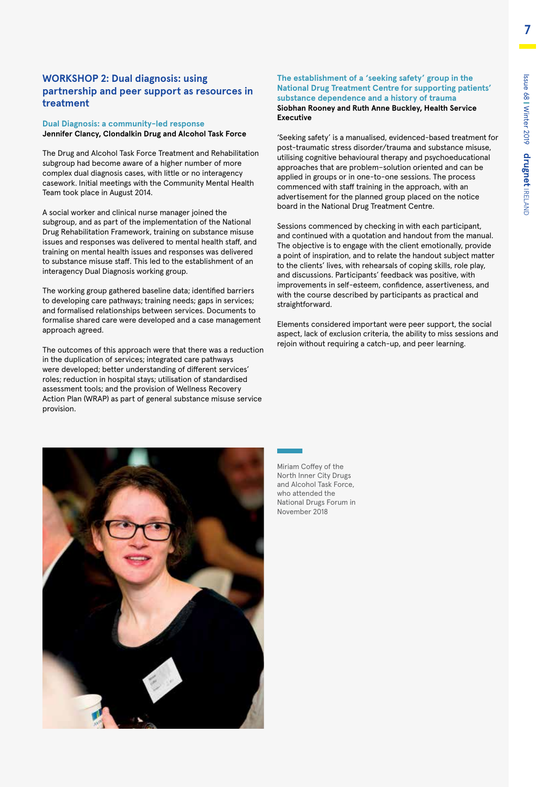#### **WORKSHOP 2: Dual diagnosis: using partnership and peer support as resources in treatment**

#### **Dual Diagnosis: a community-led response Jennifer Clancy, Clondalkin Drug and Alcohol Task Force**

The Drug and Alcohol Task Force Treatment and Rehabilitation subgroup had become aware of a higher number of more complex dual diagnosis cases, with little or no interagency casework. Initial meetings with the Community Mental Health Team took place in August 2014.

A social worker and clinical nurse manager joined the subgroup, and as part of the implementation of the National Drug Rehabilitation Framework, training on substance misuse issues and responses was delivered to mental health staff, and training on mental health issues and responses was delivered to substance misuse staff. This led to the establishment of an interagency Dual Diagnosis working group.

The working group gathered baseline data; identified barriers to developing care pathways; training needs; gaps in services; and formalised relationships between services. Documents to formalise shared care were developed and a case management approach agreed.

The outcomes of this approach were that there was a reduction in the duplication of services; integrated care pathways were developed; better understanding of different services' roles; reduction in hospital stays; utilisation of standardised assessment tools; and the provision of Wellness Recovery Action Plan (WRAP) as part of general substance misuse service provision.

#### **The establishment of a 'seeking safety' group in the National Drug Treatment Centre for supporting patients' substance dependence and a history of trauma Siobhan Rooney and Ruth Anne Buckley, Health Service Executive**

'Seeking safety' is a manualised, evidenced-based treatment for post-traumatic stress disorder/trauma and substance misuse, utilising cognitive behavioural therapy and psychoeducational approaches that are problem–solution oriented and can be applied in groups or in one-to-one sessions. The process commenced with staff training in the approach, with an advertisement for the planned group placed on the notice board in the National Drug Treatment Centre.

Sessions commenced by checking in with each participant, and continued with a quotation and handout from the manual. The objective is to engage with the client emotionally, provide a point of inspiration, and to relate the handout subject matter to the clients' lives, with rehearsals of coping skills, role play, and discussions. Participants' feedback was positive, with improvements in self-esteem, confidence, assertiveness, and with the course described by participants as practical and straightforward.

Elements considered important were peer support, the social aspect, lack of exclusion criteria, the ability to miss sessions and rejoin without requiring a catch-up, and peer learning.



Miriam Coffey of the North Inner City Drugs and Alcohol Task Force, who attended the National Drugs Forum in November 2018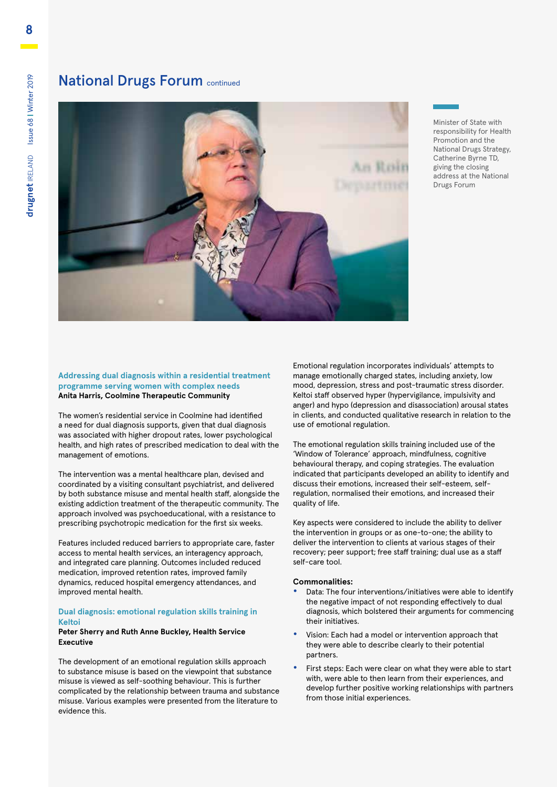### **National Drugs Forum continued**



Minister of State with responsibility for Health Promotion and the National Drugs Strategy, Catherine Byrne TD, giving the closing address at the National Drugs Forum

#### **Addressing dual diagnosis within a residential treatment programme serving women with complex needs Anita Harris, Coolmine Therapeutic Community**

The women's residential service in Coolmine had identified a need for dual diagnosis supports, given that dual diagnosis was associated with higher dropout rates, lower psychological health, and high rates of prescribed medication to deal with the management of emotions.

The intervention was a mental healthcare plan, devised and coordinated by a visiting consultant psychiatrist, and delivered by both substance misuse and mental health staff, alongside the existing addiction treatment of the therapeutic community. The approach involved was psychoeducational, with a resistance to prescribing psychotropic medication for the first six weeks.

Features included reduced barriers to appropriate care, faster access to mental health services, an interagency approach, and integrated care planning. Outcomes included reduced medication, improved retention rates, improved family dynamics, reduced hospital emergency attendances, and improved mental health.

#### **Dual diagnosis: emotional regulation skills training in Keltoi**

#### **Peter Sherry and Ruth Anne Buckley, Health Service Executive**

The development of an emotional regulation skills approach to substance misuse is based on the viewpoint that substance misuse is viewed as self-soothing behaviour. This is further complicated by the relationship between trauma and substance misuse. Various examples were presented from the literature to evidence this.

Emotional regulation incorporates individuals' attempts to manage emotionally charged states, including anxiety, low mood, depression, stress and post-traumatic stress disorder. Keltoi staff observed hyper (hypervigilance, impulsivity and anger) and hypo (depression and disassociation) arousal states in clients, and conducted qualitative research in relation to the use of emotional regulation.

The emotional regulation skills training included use of the 'Window of Tolerance' approach, mindfulness, cognitive behavioural therapy, and coping strategies. The evaluation indicated that participants developed an ability to identify and discuss their emotions, increased their self-esteem, selfregulation, normalised their emotions, and increased their quality of life.

Key aspects were considered to include the ability to deliver the intervention in groups or as one-to-one; the ability to deliver the intervention to clients at various stages of their recovery; peer support; free staff training; dual use as a staff self-care tool.

#### **Commonalities:**

- **•** Data: The four interventions/initiatives were able to identify the negative impact of not responding effectively to dual diagnosis, which bolstered their arguments for commencing their initiatives.
- **•** Vision: Each had a model or intervention approach that they were able to describe clearly to their potential partners.
- **•** First steps: Each were clear on what they were able to start with, were able to then learn from their experiences, and develop further positive working relationships with partners from those initial experiences.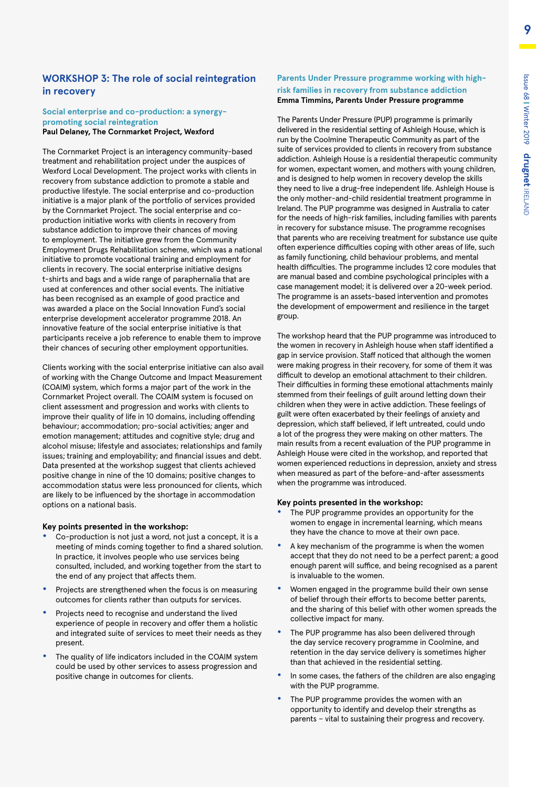#### **WORKSHOP 3: The role of social reintegration in recovery**

#### **Social enterprise and co-production: a synergypromoting social reintegration Paul Delaney, The Cornmarket Project, Wexford**

The Cornmarket Project is an interagency community-based treatment and rehabilitation project under the auspices of Wexford Local Development. The project works with clients in recovery from substance addiction to promote a stable and productive lifestyle. The social enterprise and co-production initiative is a major plank of the portfolio of services provided by the Cornmarket Project. The social enterprise and coproduction initiative works with clients in recovery from substance addiction to improve their chances of moving to employment. The initiative grew from the Community Employment Drugs Rehabilitation scheme, which was a national initiative to promote vocational training and employment for clients in recovery. The social enterprise initiative designs t-shirts and bags and a wide range of paraphernalia that are used at conferences and other social events. The initiative has been recognised as an example of good practice and was awarded a place on the Social Innovation Fund's social enterprise development accelerator programme 2018. An innovative feature of the social enterprise initiative is that participants receive a job reference to enable them to improve their chances of securing other employment opportunities.

Clients working with the social enterprise initiative can also avail of working with the Change Outcome and Impact Measurement (COAIM) system, which forms a major part of the work in the Cornmarket Project overall. The COAIM system is focused on client assessment and progression and works with clients to improve their quality of life in 10 domains, including offending behaviour; accommodation; pro-social activities; anger and emotion management; attitudes and cognitive style; drug and alcohol misuse; lifestyle and associates; relationships and family issues; training and employability; and financial issues and debt. Data presented at the workshop suggest that clients achieved positive change in nine of the 10 domains; positive changes to accommodation status were less pronounced for clients, which are likely to be influenced by the shortage in accommodation options on a national basis.

#### **Key points presented in the workshop:**

- **•** Co-production is not just a word, not just a concept, it is a meeting of minds coming together to find a shared solution. In practice, it involves people who use services being consulted, included, and working together from the start to the end of any project that affects them.
- **•** Projects are strengthened when the focus is on measuring outcomes for clients rather than outputs for services.
- **•** Projects need to recognise and understand the lived experience of people in recovery and offer them a holistic and integrated suite of services to meet their needs as they present.
- **•** The quality of life indicators included in the COAIM system could be used by other services to assess progression and positive change in outcomes for clients.

#### **Parents Under Pressure programme working with highrisk families in recovery from substance addiction Emma Timmins, Parents Under Pressure programme**

The Parents Under Pressure (PUP) programme is primarily delivered in the residential setting of Ashleigh House, which is run by the Coolmine Therapeutic Community as part of the suite of services provided to clients in recovery from substance addiction. Ashleigh House is a residential therapeutic community for women, expectant women, and mothers with young children, and is designed to help women in recovery develop the skills they need to live a drug-free independent life. Ashleigh House is the only mother-and-child residential treatment programme in Ireland. The PUP programme was designed in Australia to cater for the needs of high-risk families, including families with parents in recovery for substance misuse. The programme recognises that parents who are receiving treatment for substance use quite often experience difficulties coping with other areas of life, such as family functioning, child behaviour problems, and mental health difficulties. The programme includes 12 core modules that are manual based and combine psychological principles with a case management model; it is delivered over a 20-week period. The programme is an assets-based intervention and promotes the development of empowerment and resilience in the target group.

The workshop heard that the PUP programme was introduced to the women in recovery in Ashleigh house when staff identified a gap in service provision. Staff noticed that although the women were making progress in their recovery, for some of them it was difficult to develop an emotional attachment to their children. Their difficulties in forming these emotional attachments mainly stemmed from their feelings of guilt around letting down their children when they were in active addiction. These feelings of guilt were often exacerbated by their feelings of anxiety and depression, which staff believed, if left untreated, could undo a lot of the progress they were making on other matters. The main results from a recent evaluation of the PUP programme in Ashleigh House were cited in the workshop, and reported that women experienced reductions in depression, anxiety and stress when measured as part of the before-and-after assessments when the programme was introduced.

#### **Key points presented in the workshop:**

- **•** The PUP programme provides an opportunity for the women to engage in incremental learning, which means they have the chance to move at their own pace.
- **•** A key mechanism of the programme is when the women accept that they do not need to be a perfect parent; a good enough parent will suffice, and being recognised as a parent is invaluable to the women.
- **•** Women engaged in the programme build their own sense of belief through their efforts to become better parents, and the sharing of this belief with other women spreads the collective impact for many.
- **•** The PUP programme has also been delivered through the day service recovery programme in Coolmine, and retention in the day service delivery is sometimes higher than that achieved in the residential setting.
- **•** In some cases, the fathers of the children are also engaging with the PUP programme.
- **•** The PUP programme provides the women with an opportunity to identify and develop their strengths as parents – vital to sustaining their progress and recovery.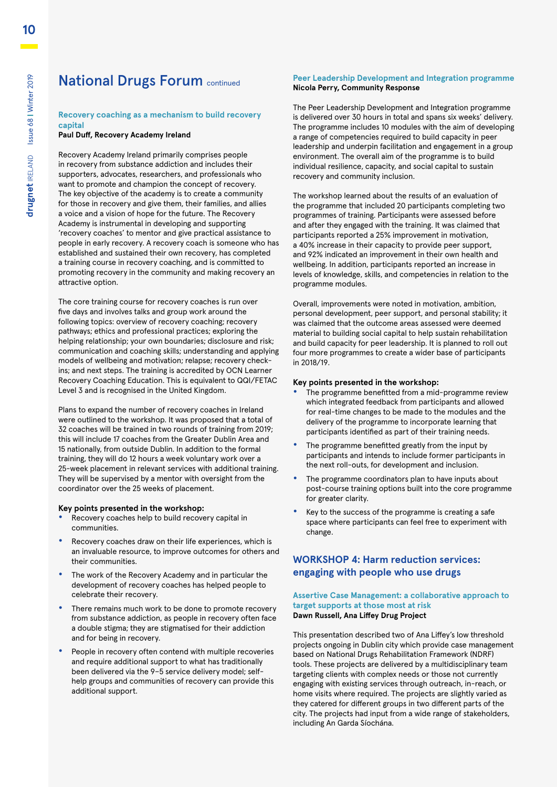### **National Drugs Forum continued**

#### **Recovery coaching as a mechanism to build recovery capital**

#### **Paul Duff, Recovery Academy Ireland**

Recovery Academy Ireland primarily comprises people in recovery from substance addiction and includes their supporters, advocates, researchers, and professionals who want to promote and champion the concept of recovery. The key objective of the academy is to create a community for those in recovery and give them, their families, and allies a voice and a vision of hope for the future. The Recovery Academy is instrumental in developing and supporting 'recovery coaches' to mentor and give practical assistance to people in early recovery. A recovery coach is someone who has established and sustained their own recovery, has completed a training course in recovery coaching, and is committed to promoting recovery in the community and making recovery an attractive option.

The core training course for recovery coaches is run over five days and involves talks and group work around the following topics: overview of recovery coaching; recovery pathways; ethics and professional practices; exploring the helping relationship; your own boundaries; disclosure and risk; communication and coaching skills; understanding and applying models of wellbeing and motivation; relapse; recovery checkins; and next steps. The training is accredited by OCN Learner Recovery Coaching Education. This is equivalent to QQI/FETAC Level 3 and is recognised in the United Kingdom.

Plans to expand the number of recovery coaches in Ireland were outlined to the workshop. It was proposed that a total of 32 coaches will be trained in two rounds of training from 2019; this will include 17 coaches from the Greater Dublin Area and 15 nationally, from outside Dublin. In addition to the formal training, they will do 12 hours a week voluntary work over a 25-week placement in relevant services with additional training. They will be supervised by a mentor with oversight from the coordinator over the 25 weeks of placement.

#### **Key points presented in the workshop:**

- **•** Recovery coaches help to build recovery capital in communities.
- **•** Recovery coaches draw on their life experiences, which is an invaluable resource, to improve outcomes for others and their communities.
- **•** The work of the Recovery Academy and in particular the development of recovery coaches has helped people to celebrate their recovery.
- **•** There remains much work to be done to promote recovery from substance addiction, as people in recovery often face a double stigma; they are stigmatised for their addiction and for being in recovery.
- **•** People in recovery often contend with multiple recoveries and require additional support to what has traditionally been delivered via the 9–5 service delivery model; selfhelp groups and communities of recovery can provide this additional support.

#### **Peer Leadership Development and Integration programme Nicola Perry, Community Response**

The Peer Leadership Development and Integration programme is delivered over 30 hours in total and spans six weeks' delivery. The programme includes 10 modules with the aim of developing a range of competencies required to build capacity in peer leadership and underpin facilitation and engagement in a group environment. The overall aim of the programme is to build individual resilience, capacity, and social capital to sustain recovery and community inclusion.

The workshop learned about the results of an evaluation of the programme that included 20 participants completing two programmes of training. Participants were assessed before and after they engaged with the training. It was claimed that participants reported a 25% improvement in motivation, a 40% increase in their capacity to provide peer support, and 92% indicated an improvement in their own health and wellbeing. In addition, participants reported an increase in levels of knowledge, skills, and competencies in relation to the programme modules.

Overall, improvements were noted in motivation, ambition, personal development, peer support, and personal stability; it was claimed that the outcome areas assessed were deemed material to building social capital to help sustain rehabilitation and build capacity for peer leadership. It is planned to roll out four more programmes to create a wider base of participants in 2018/19.

#### **Key points presented in the workshop:**

- **•** The programme benefitted from a mid-programme review which integrated feedback from participants and allowed for real-time changes to be made to the modules and the delivery of the programme to incorporate learning that participants identified as part of their training needs.
- **•** The programme benefitted greatly from the input by participants and intends to include former participants in the next roll-outs, for development and inclusion.
- **•** The programme coordinators plan to have inputs about post-course training options built into the core programme for greater clarity.
- **•** Key to the success of the programme is creating a safe space where participants can feel free to experiment with change.

#### **WORKSHOP 4: Harm reduction services: engaging with people who use drugs**

#### **Assertive Case Management: a collaborative approach to target supports at those most at risk Dawn Russell, Ana Liffey Drug Project**

This presentation described two of Ana Liffey's low threshold projects ongoing in Dublin city which provide case management based on National Drugs Rehabilitation Framework (NDRF) tools. These projects are delivered by a multidisciplinary team targeting clients with complex needs or those not currently engaging with existing services through outreach, in-reach, or home visits where required. The projects are slightly varied as they catered for different groups in two different parts of the city. The projects had input from a wide range of stakeholders, including An Garda Síochána.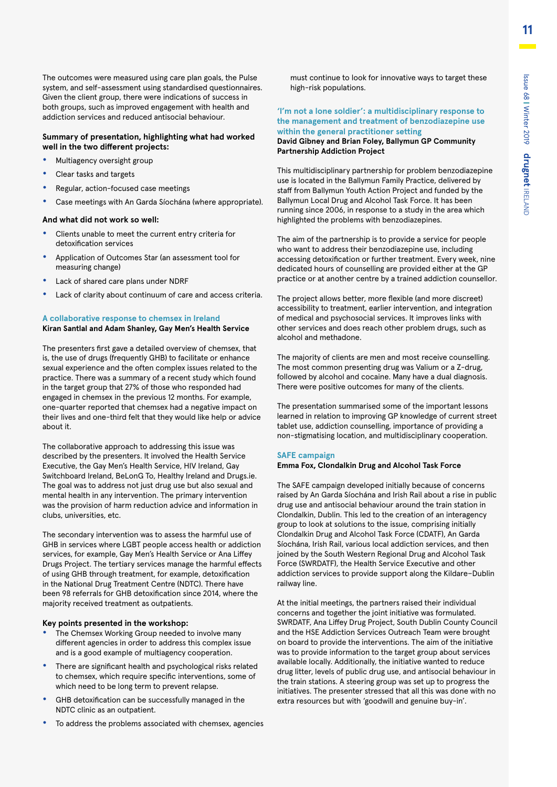The outcomes were measured using care plan goals, the Pulse system, and self-assessment using standardised questionnaires. Given the client group, there were indications of success in both groups, such as improved engagement with health and addiction services and reduced antisocial behaviour.

#### **Summary of presentation, highlighting what had worked well in the two different projects:**

- **•** Multiagency oversight group
- **•** Clear tasks and targets
- **•** Regular, action-focused case meetings
- **•** Case meetings with An Garda Síochána (where appropriate).

#### **And what did not work so well:**

- **•** Clients unable to meet the current entry criteria for detoxification services
- **•** Application of Outcomes Star (an assessment tool for measuring change)
- **•** Lack of shared care plans under NDRF
- **•** Lack of clarity about continuum of care and access criteria.

#### **A collaborative response to chemsex in Ireland Kiran Santlal and Adam Shanley, Gay Men's Health Service**

The presenters first gave a detailed overview of chemsex, that is, the use of drugs (frequently GHB) to facilitate or enhance sexual experience and the often complex issues related to the practice. There was a summary of a recent study which found in the target group that 27% of those who responded had engaged in chemsex in the previous 12 months. For example, one-quarter reported that chemsex had a negative impact on their lives and one-third felt that they would like help or advice about it.

The collaborative approach to addressing this issue was described by the presenters. It involved the Health Service Executive, the Gay Men's Health Service, HIV Ireland, Gay Switchboard Ireland, BeLonG To, Healthy Ireland and Drugs.ie. The goal was to address not just drug use but also sexual and mental health in any intervention. The primary intervention was the provision of harm reduction advice and information in clubs, universities, etc.

The secondary intervention was to assess the harmful use of GHB in services where LGBT people access health or addiction services, for example, Gay Men's Health Service or Ana Liffey Drugs Project. The tertiary services manage the harmful effects of using GHB through treatment, for example, detoxification in the National Drug Treatment Centre (NDTC). There have been 98 referrals for GHB detoxification since 2014, where the majority received treatment as outpatients.

#### **Key points presented in the workshop:**

- **•** The Chemsex Working Group needed to involve many different agencies in order to address this complex issue and is a good example of multiagency cooperation.
- **•** There are significant health and psychological risks related to chemsex, which require specific interventions, some of which need to be long term to prevent relapse.
- **•** GHB detoxification can be successfully managed in the NDTC clinic as an outpatient.
- **•** To address the problems associated with chemsex, agencies

must continue to look for innovative ways to target these high-risk populations.

#### **'I'm not a lone soldier': a multidisciplinary response to the management and treatment of benzodiazepine use within the general practitioner setting**

**David Gibney and Brian Foley, Ballymun GP Community Partnership Addiction Project**

This multidisciplinary partnership for problem benzodiazepine use is located in the Ballymun Family Practice, delivered by staff from Ballymun Youth Action Project and funded by the Ballymun Local Drug and Alcohol Task Force. It has been running since 2006, in response to a study in the area which highlighted the problems with benzodiazepines.

The aim of the partnership is to provide a service for people who want to address their benzodiazepine use, including accessing detoxification or further treatment. Every week, nine dedicated hours of counselling are provided either at the GP practice or at another centre by a trained addiction counsellor.

The project allows better, more flexible (and more discreet) accessibility to treatment, earlier intervention, and integration of medical and psychosocial services. It improves links with other services and does reach other problem drugs, such as alcohol and methadone.

The majority of clients are men and most receive counselling. The most common presenting drug was Valium or a Z-drug, followed by alcohol and cocaine. Many have a dual diagnosis. There were positive outcomes for many of the clients.

The presentation summarised some of the important lessons learned in relation to improving GP knowledge of current street tablet use, addiction counselling, importance of providing a non-stigmatising location, and multidisciplinary cooperation.

#### **SAFE campaign**

**Emma Fox, Clondalkin Drug and Alcohol Task Force** 

The SAFE campaign developed initially because of concerns raised by An Garda Síochána and Irish Rail about a rise in public drug use and antisocial behaviour around the train station in Clondalkin, Dublin. This led to the creation of an interagency group to look at solutions to the issue, comprising initially Clondalkin Drug and Alcohol Task Force (CDATF), An Garda Síochána, Irish Rail, various local addiction services, and then joined by the South Western Regional Drug and Alcohol Task Force (SWRDATF), the Health Service Executive and other addiction services to provide support along the Kildare–Dublin railway line.

At the initial meetings, the partners raised their individual concerns and together the joint initiative was formulated. SWRDATF, Ana Liffey Drug Project, South Dublin County Council and the HSE Addiction Services Outreach Team were brought on board to provide the interventions. The aim of the initiative was to provide information to the target group about services available locally. Additionally, the initiative wanted to reduce drug litter, levels of public drug use, and antisocial behaviour in the train stations. A steering group was set up to progress the initiatives. The presenter stressed that all this was done with no extra resources but with 'goodwill and genuine buy-in'.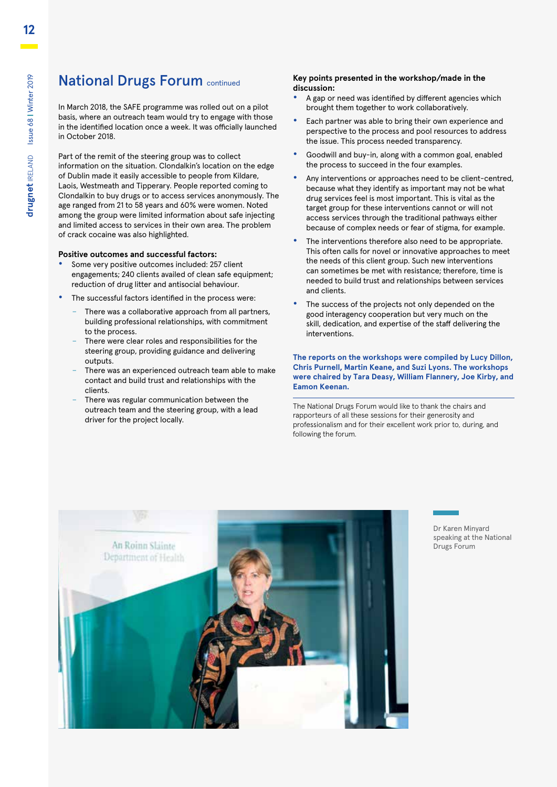### **National Drugs Forum continued**

In March 2018, the SAFE programme was rolled out on a pilot basis, where an outreach team would try to engage with those in the identified location once a week. It was officially launched in October 2018.

Part of the remit of the steering group was to collect information on the situation. Clondalkin's location on the edge of Dublin made it easily accessible to people from Kildare, Laois, Westmeath and Tipperary. People reported coming to Clondalkin to buy drugs or to access services anonymously. The age ranged from 21 to 58 years and 60% were women. Noted among the group were limited information about safe injecting and limited access to services in their own area. The problem of crack cocaine was also highlighted.

#### **Positive outcomes and successful factors:**

- **•** Some very positive outcomes included: 257 client engagements; 240 clients availed of clean safe equipment; reduction of drug litter and antisocial behaviour.
- **•** The successful factors identified in the process were:
	- There was a collaborative approach from all partners, building professional relationships, with commitment to the process.
	- There were clear roles and responsibilities for the steering group, providing guidance and delivering outputs.
	- There was an experienced outreach team able to make contact and build trust and relationships with the clients.
	- There was regular communication between the outreach team and the steering group, with a lead driver for the project locally.

#### **Key points presented in the workshop/made in the discussion:**

- **•** A gap or need was identified by different agencies which brought them together to work collaboratively.
- **•** Each partner was able to bring their own experience and perspective to the process and pool resources to address the issue. This process needed transparency.
- **•** Goodwill and buy-in, along with a common goal, enabled the process to succeed in the four examples.
- **•** Any interventions or approaches need to be client-centred, because what they identify as important may not be what drug services feel is most important. This is vital as the target group for these interventions cannot or will not access services through the traditional pathways either because of complex needs or fear of stigma, for example.
- **•** The interventions therefore also need to be appropriate. This often calls for novel or innovative approaches to meet the needs of this client group. Such new interventions can sometimes be met with resistance; therefore, time is needed to build trust and relationships between services and clients.
- **•** The success of the projects not only depended on the good interagency cooperation but very much on the skill, dedication, and expertise of the staff delivering the interventions.

**The reports on the workshops were compiled by Lucy Dillon, Chris Purnell, Martin Keane, and Suzi Lyons. The workshops were chaired by Tara Deasy, William Flannery, Joe Kirby, and Eamon Keenan.**

The National Drugs Forum would like to thank the chairs and rapporteurs of all these sessions for their generosity and professionalism and for their excellent work prior to, during, and following the forum.



Dr Karen Minyard speaking at the National Drugs Forum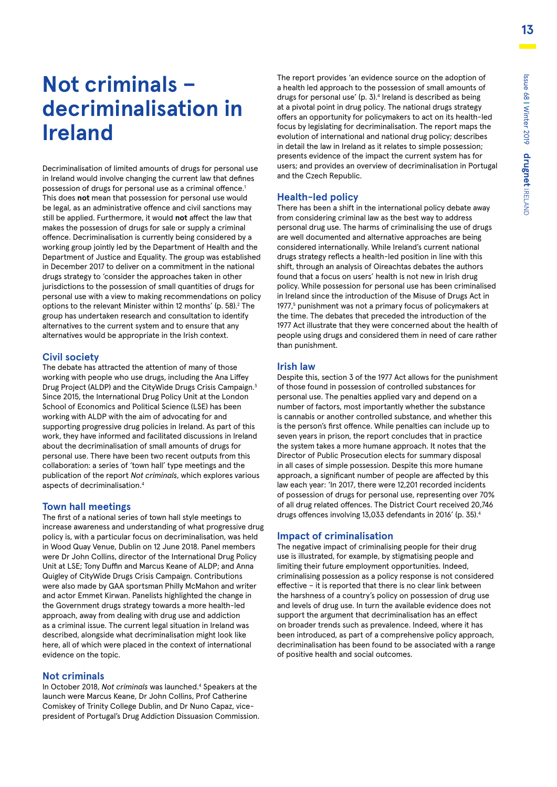# **Not criminals – decriminalisation in Ireland**

Decriminalisation of limited amounts of drugs for personal use in Ireland would involve changing the current law that defines possession of drugs for personal use as a criminal offence.<sup>1</sup> This does **not** mean that possession for personal use would be legal, as an administrative offence and civil sanctions may still be applied. Furthermore, it would **not** affect the law that makes the possession of drugs for sale or supply a criminal offence. Decriminalisation is currently being considered by a working group jointly led by the Department of Health and the Department of Justice and Equality. The group was established in December 2017 to deliver on a commitment in the national drugs strategy to 'consider the approaches taken in other jurisdictions to the possession of small quantities of drugs for personal use with a view to making recommendations on policy options to the relevant Minister within 12 months' (p. 58).<sup>2</sup> The group has undertaken research and consultation to identify alternatives to the current system and to ensure that any alternatives would be appropriate in the Irish context.

#### **Civil society**

The debate has attracted the attention of many of those working with people who use drugs, including the Ana Liffey Drug Project (ALDP) and the CityWide Drugs Crisis Campaign.3 Since 2015, the International Drug Policy Unit at the London School of Economics and Political Science (LSE) has been working with ALDP with the aim of advocating for and supporting progressive drug policies in Ireland. As part of this work, they have informed and facilitated discussions in Ireland about the decriminalisation of small amounts of drugs for personal use. There have been two recent outputs from this collaboration: a series of 'town hall' type meetings and the publication of the report *Not criminals*, which explores various aspects of decriminalisation.4

#### **Town hall meetings**

The first of a national series of town hall style meetings to increase awareness and understanding of what progressive drug policy is, with a particular focus on decriminalisation, was held in Wood Quay Venue, Dublin on 12 June 2018. Panel members were Dr John Collins, director of the International Drug Policy Unit at LSE; Tony Duffin and Marcus Keane of ALDP; and Anna Quigley of CityWide Drugs Crisis Campaign. Contributions were also made by GAA sportsman Philly McMahon and writer and actor Emmet Kirwan. Panelists highlighted the change in the Government drugs strategy towards a more health-led approach, away from dealing with drug use and addiction as a criminal issue. The current legal situation in Ireland was described, alongside what decriminalisation might look like here, all of which were placed in the context of international evidence on the topic.

#### **Not criminals**

In October 2018, Not criminals was launched.<sup>4</sup> Speakers at the launch were Marcus Keane, Dr John Collins, Prof Catherine Comiskey of Trinity College Dublin, and Dr Nuno Capaz, vicepresident of Portugal's Drug Addiction Dissuasion Commission. The report provides 'an evidence source on the adoption of a health led approach to the possession of small amounts of drugs for personal use' (p. 3).<sup>4</sup> Ireland is described as being at a pivotal point in drug policy. The national drugs strategy offers an opportunity for policymakers to act on its health-led focus by legislating for decriminalisation. The report maps the evolution of international and national drug policy; describes in detail the law in Ireland as it relates to simple possession; presents evidence of the impact the current system has for users; and provides an overview of decriminalisation in Portugal and the Czech Republic.

#### **Health-led policy**

There has been a shift in the international policy debate away from considering criminal law as the best way to address personal drug use. The harms of criminalising the use of drugs are well documented and alternative approaches are being considered internationally. While Ireland's current national drugs strategy reflects a health-led position in line with this shift, through an analysis of Oireachtas debates the authors found that a focus on users' health is not new in Irish drug policy. While possession for personal use has been criminalised in Ireland since the introduction of the Misuse of Drugs Act in 1977,<sup>5</sup> punishment was not a primary focus of policymakers at the time. The debates that preceded the introduction of the 1977 Act illustrate that they were concerned about the health of people using drugs and considered them in need of care rather than punishment.

#### **Irish law**

Despite this, section 3 of the 1977 Act allows for the punishment of those found in possession of controlled substances for personal use. The penalties applied vary and depend on a number of factors, most importantly whether the substance is cannabis or another controlled substance, and whether this is the person's first offence. While penalties can include up to seven years in prison, the report concludes that in practice the system takes a more humane approach. It notes that the Director of Public Prosecution elects for summary disposal in all cases of simple possession. Despite this more humane approach, a significant number of people are affected by this law each year: 'In 2017, there were 12,201 recorded incidents of possession of drugs for personal use, representing over 70% of all drug related offences. The District Court received 20,746 drugs offences involving 13,033 defendants in 2016' (p. 35).4

#### **Impact of criminalisation**

The negative impact of criminalising people for their drug use is illustrated, for example, by stigmatising people and limiting their future employment opportunities. Indeed, criminalising possession as a policy response is not considered effective – it is reported that there is no clear link between the harshness of a country's policy on possession of drug use and levels of drug use. In turn the available evidence does not support the argument that decriminalisation has an effect on broader trends such as prevalence. Indeed, where it has been introduced, as part of a comprehensive policy approach, decriminalisation has been found to be associated with a range of positive health and social outcomes.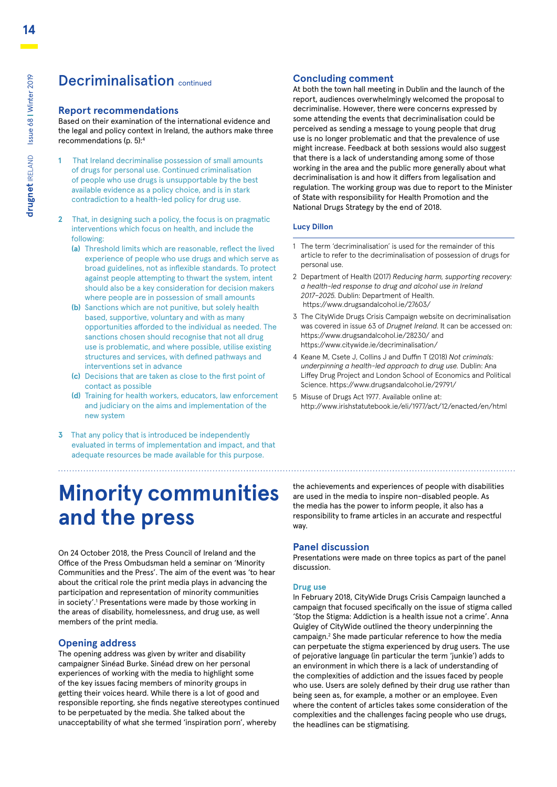### Decriminalisation continued

#### **Report recommendations**

Based on their examination of the international evidence and the legal and policy context in Ireland, the authors make three recommendations (p. 5):4

- **1** That Ireland decriminalise possession of small amounts of drugs for personal use. Continued criminalisation of people who use drugs is unsupportable by the best available evidence as a policy choice, and is in stark contradiction to a health-led policy for drug use.
- **2** That, in designing such a policy, the focus is on pragmatic interventions which focus on health, and include the following:
	- **(a)** Threshold limits which are reasonable, reflect the lived experience of people who use drugs and which serve as broad guidelines, not as inflexible standards. To protect against people attempting to thwart the system, intent should also be a key consideration for decision makers where people are in possession of small amounts
	- **(b)** Sanctions which are not punitive, but solely health based, supportive, voluntary and with as many opportunities afforded to the individual as needed. The sanctions chosen should recognise that not all drug use is problematic, and where possible, utilise existing structures and services, with defined pathways and interventions set in advance
	- **(c)** Decisions that are taken as close to the first point of contact as possible
	- **(d)** Training for health workers, educators, law enforcement and judiciary on the aims and implementation of the new system
- **3** That any policy that is introduced be independently evaluated in terms of implementation and impact, and that adequate resources be made available for this purpose.

# **Minority communities and the press**

On 24 October 2018, the Press Council of Ireland and the Office of the Press Ombudsman held a seminar on 'Minority Communities and the Press'. The aim of the event was 'to hear about the critical role the print media plays in advancing the participation and representation of minority communities in society'.<sup>1</sup> Presentations were made by those working in the areas of disability, homelessness, and drug use, as well members of the print media.

#### **Opening address**

The opening address was given by writer and disability campaigner Sinéad Burke. Sinéad drew on her personal experiences of working with the media to highlight some of the key issues facing members of minority groups in getting their voices heard. While there is a lot of good and responsible reporting, she finds negative stereotypes continued to be perpetuated by the media. She talked about the unacceptability of what she termed 'inspiration porn', whereby

#### **Concluding comment**

At both the town hall meeting in Dublin and the launch of the report, audiences overwhelmingly welcomed the proposal to decriminalise. However, there were concerns expressed by some attending the events that decriminalisation could be perceived as sending a message to young people that drug use is no longer problematic and that the prevalence of use might increase. Feedback at both sessions would also suggest that there is a lack of understanding among some of those working in the area and the public more generally about what decriminalisation is and how it differs from legalisation and regulation. The working group was due to report to the Minister of State with responsibility for Health Promotion and the National Drugs Strategy by the end of 2018.

#### **Lucy Dillon**

- 1 The term 'decriminalisation' is used for the remainder of this article to refer to the decriminalisation of possession of drugs for personal use.
- 2 Department of Health (2017) *Reducing harm, supporting recovery: a health-led response to drug and alcohol use in Ireland 2017–2025.* Dublin: Department of Health. https://www.drugsandalcohol.ie/27603/
- 3 The CityWide Drugs Crisis Campaign website on decriminalisation was covered in issue 63 of *Drugnet Ireland*. It can be accessed on: https://www.drugsandalcohol.ie/28230/ and https://www.citywide.ie/decriminalisation/
- 4 Keane M, Csete J, Collins J and Duffin T (2018) *Not criminals: underpinning a health-led approach to drug use.* Dublin: Ana Liffey Drug Project and London School of Economics and Political Science. https://www.drugsandalcohol.ie/29791/
- 5 Misuse of Drugs Act 1977. Available online at: http://www.irishstatutebook.ie/eli/1977/act/12/enacted/en/html

the achievements and experiences of people with disabilities are used in the media to inspire non-disabled people. As the media has the power to inform people, it also has a responsibility to frame articles in an accurate and respectful way.

#### **Panel discussion**

Presentations were made on three topics as part of the panel discussion.

#### **Drug use**

In February 2018, CityWide Drugs Crisis Campaign launched a campaign that focused specifically on the issue of stigma called 'Stop the Stigma: Addiction is a health issue not a crime'. Anna Quigley of CityWide outlined the theory underpinning the campaign.<sup>2</sup> She made particular reference to how the media can perpetuate the stigma experienced by drug users. The use of pejorative language (in particular the term 'junkie') adds to an environment in which there is a lack of understanding of the complexities of addiction and the issues faced by people who use. Users are solely defined by their drug use rather than being seen as, for example, a mother or an employee. Even where the content of articles takes some consideration of the complexities and the challenges facing people who use drugs, the headlines can be stigmatising.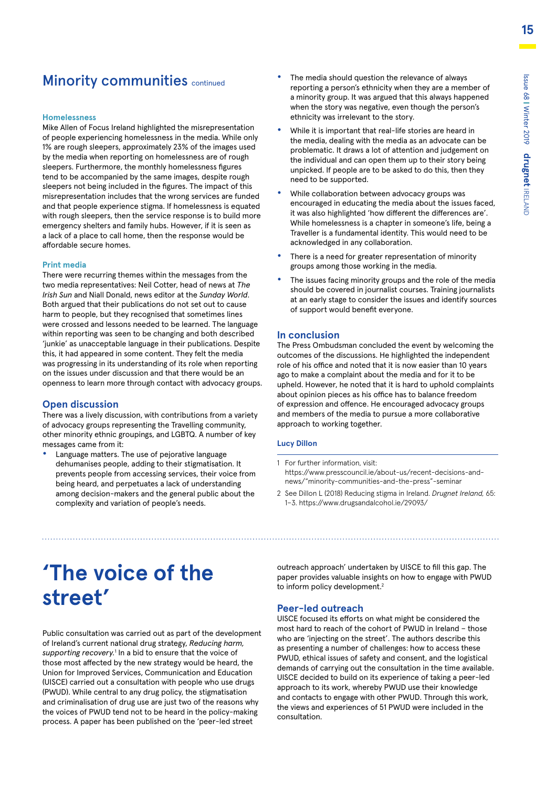### **Minority communities continued**

#### **Homelessness**

Mike Allen of Focus Ireland highlighted the misrepresentation of people experiencing homelessness in the media. While only 1% are rough sleepers, approximately 23% of the images used by the media when reporting on homelessness are of rough sleepers. Furthermore, the monthly homelessness figures tend to be accompanied by the same images, despite rough sleepers not being included in the figures. The impact of this misrepresentation includes that the wrong services are funded and that people experience stigma. If homelessness is equated with rough sleepers, then the service response is to build more emergency shelters and family hubs. However, if it is seen as a lack of a place to call home, then the response would be affordable secure homes.

#### **Print media**

There were recurring themes within the messages from the two media representatives: Neil Cotter, head of news at *The Irish Sun* and Niall Donald, news editor at the *Sunday World*. Both argued that their publications do not set out to cause harm to people, but they recognised that sometimes lines were crossed and lessons needed to be learned. The language within reporting was seen to be changing and both described 'junkie' as unacceptable language in their publications. Despite this, it had appeared in some content. They felt the media was progressing in its understanding of its role when reporting on the issues under discussion and that there would be an openness to learn more through contact with advocacy groups.

#### **Open discussion**

There was a lively discussion, with contributions from a variety of advocacy groups representing the Travelling community, other minority ethnic groupings, and LGBTQ. A number of key messages came from it:

**•** Language matters. The use of pejorative language dehumanises people, adding to their stigmatisation. It prevents people from accessing services, their voice from being heard, and perpetuates a lack of understanding among decision-makers and the general public about the complexity and variation of people's needs.

- **•** The media should question the relevance of always reporting a person's ethnicity when they are a member of a minority group. It was argued that this always happened when the story was negative, even though the person's ethnicity was irrelevant to the story.
- **•** While it is important that real-life stories are heard in the media, dealing with the media as an advocate can be problematic. It draws a lot of attention and judgement on the individual and can open them up to their story being unpicked. If people are to be asked to do this, then they need to be supported.
- **•** While collaboration between advocacy groups was encouraged in educating the media about the issues faced, it was also highlighted 'how different the differences are'. While homelessness is a chapter in someone's life, being a Traveller is a fundamental identity. This would need to be acknowledged in any collaboration.
- **•** There is a need for greater representation of minority groups among those working in the media.
- **•** The issues facing minority groups and the role of the media should be covered in journalist courses. Training journalists at an early stage to consider the issues and identify sources of support would benefit everyone.

#### **In conclusion**

The Press Ombudsman concluded the event by welcoming the outcomes of the discussions. He highlighted the independent role of his office and noted that it is now easier than 10 years ago to make a complaint about the media and for it to be upheld. However, he noted that it is hard to uphold complaints about opinion pieces as his office has to balance freedom of expression and offence. He encouraged advocacy groups and members of the media to pursue a more collaborative approach to working together.

#### **Lucy Dillon**

- 1 For further information, visit: https://www.presscouncil.ie/about-us/recent-decisions-andnews/"minority-communities-and-the-press"-seminar
- 2 See Dillon L (2018) Reducing stigma in Ireland. *Drugnet Ireland,* 65: 1–3. https://www.drugsandalcohol.ie/29093/

# **'The voice of the street'**

Public consultation was carried out as part of the development of Ireland's current national drug strategy, *Reducing harm,*  supporting recovery.<sup>1</sup> In a bid to ensure that the voice of those most affected by the new strategy would be heard, the Union for Improved Services, Communication and Education (UISCE) carried out a consultation with people who use drugs (PWUD). While central to any drug policy, the stigmatisation and criminalisation of drug use are just two of the reasons why the voices of PWUD tend not to be heard in the policy-making process. A paper has been published on the 'peer-led street

outreach approach' undertaken by UISCE to fill this gap. The paper provides valuable insights on how to engage with PWUD to inform policy development.<sup>2</sup>

#### **Peer-led outreach**

UISCE focused its efforts on what might be considered the most hard to reach of the cohort of PWUD in Ireland – those who are 'injecting on the street'. The authors describe this as presenting a number of challenges: how to access these PWUD, ethical issues of safety and consent, and the logistical demands of carrying out the consultation in the time available. UISCE decided to build on its experience of taking a peer-led approach to its work, whereby PWUD use their knowledge and contacts to engage with other PWUD. Through this work, the views and experiences of 51 PWUD were included in the consultation.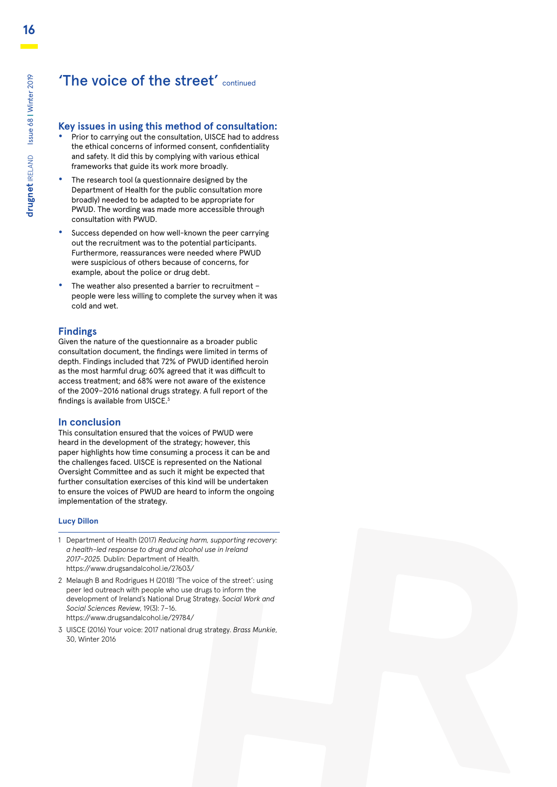### 'The voice of the street' continued

#### **Key issues in using this method of consultation:**

- **•** Prior to carrying out the consultation, UISCE had to address the ethical concerns of informed consent, confidentiality and safety. It did this by complying with various ethical frameworks that guide its work more broadly.
- **•** The research tool (a questionnaire designed by the Department of Health for the public consultation more broadly) needed to be adapted to be appropriate for PWUD. The wording was made more accessible through consultation with PWUD.
- **•** Success depended on how well-known the peer carrying out the recruitment was to the potential participants. Furthermore, reassurances were needed where PWUD were suspicious of others because of concerns, for example, about the police or drug debt.
- **•** The weather also presented a barrier to recruitment people were less willing to complete the survey when it was cold and wet.

#### **Findings**

Given the nature of the questionnaire as a broader public consultation document, the findings were limited in terms of depth. Findings included that 72% of PWUD identified heroin as the most harmful drug; 60% agreed that it was difficult to access treatment; and 68% were not aware of the existence of the 2009–2016 national drugs strategy. A full report of the findings is available from UISCE.3

#### **In conclusion**

This consultation ensured that the voices of PWUD were heard in the development of the strategy; however, this paper highlights how time consuming a process it can be and the challenges faced. UISCE is represented on the National Oversight Committee and as such it might be expected that further consultation exercises of this kind will be undertaken to ensure the voices of PWUD are heard to inform the ongoing implementation of the strategy.

#### **Lucy Dillon**

- 1 Department of Health (2017) *Reducing harm, supporting recovery: a health-led response to drug and alcohol use in Ireland 2017–2025.* Dublin: Department of Health. https://www.drugsandalcohol.ie/27603/
- 2 Melaugh B and Rodrigues H (2018) 'The voice of the street': using peer led outreach with people who use drugs to inform the development of Ireland's National Drug Strategy. S*ocial Work and Social Sciences Review*, 19(3): 7–16. https://www.drugsandalcohol.ie/29784/
- 3 UISCE (2016) Your voice: 2017 national drug strategy. *Brass Munkie*, 30, Winter 2016

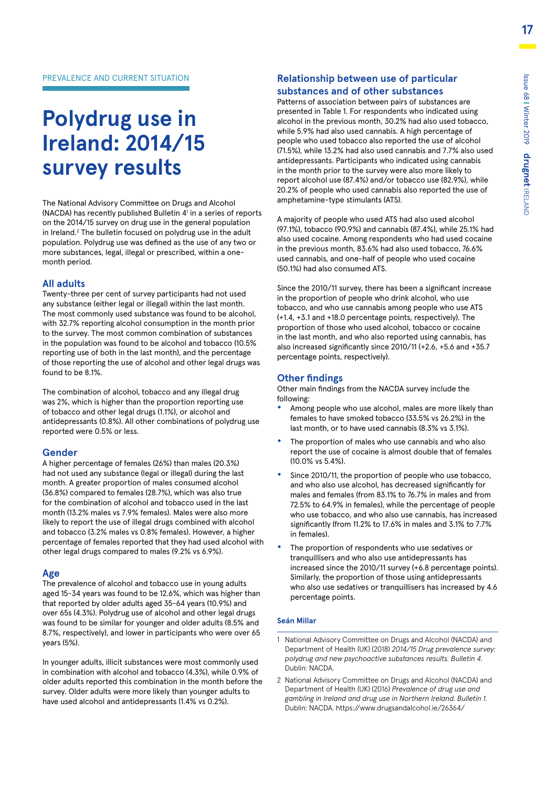# **Polydrug use in Ireland: 2014/15 survey results**

The National Advisory Committee on Drugs and Alcohol (NACDA) has recently published Bulletin 41 in a series of reports on the 2014/15 survey on drug use in the general population in Ireland.<sup>2</sup> The bulletin focused on polydrug use in the adult population. Polydrug use was defined as the use of any two or more substances, legal, illegal or prescribed, within a onemonth period.

#### **All adults**

Twenty-three per cent of survey participants had not used any substance (either legal or illegal) within the last month. The most commonly used substance was found to be alcohol, with 32.7% reporting alcohol consumption in the month prior to the survey. The most common combination of substances in the population was found to be alcohol and tobacco (10.5% reporting use of both in the last month), and the percentage of those reporting the use of alcohol and other legal drugs was found to be 8.1%.

The combination of alcohol, tobacco and any illegal drug was 2%, which is higher than the proportion reporting use of tobacco and other legal drugs (1.1%), or alcohol and antidepressants (0.8%). All other combinations of polydrug use reported were 0.5% or less.

#### **Gender**

A higher percentage of females (26%) than males (20.3%) had not used any substance (legal or illegal) during the last month. A greater proportion of males consumed alcohol (36.8%) compared to females (28.7%), which was also true for the combination of alcohol and tobacco used in the last month (13.2% males vs 7.9% females). Males were also more likely to report the use of illegal drugs combined with alcohol and tobacco (3.2% males vs 0.8% females). However, a higher percentage of females reported that they had used alcohol with other legal drugs compared to males (9.2% vs 6.9%).

#### **Age**

The prevalence of alcohol and tobacco use in young adults aged 15-34 years was found to be 12.6%, which was higher than that reported by older adults aged 35-64 years (10.9%) and over 65s (4.3%). Polydrug use of alcohol and other legal drugs was found to be similar for younger and older adults (8.5% and 8.7%, respectively), and lower in participants who were over 65 years (5%).

In younger adults, illicit substances were most commonly used in combination with alcohol and tobacco (4.3%), while 0.9% of older adults reported this combination in the month before the survey. Older adults were more likely than younger adults to have used alcohol and antidepressants (1.4% vs 0.2%).

#### **Relationship between use of particular substances and of other substances**

Patterns of association between pairs of substances are presented in Table 1. For respondents who indicated using alcohol in the previous month, 30.2% had also used tobacco, while 5.9% had also used cannabis. A high percentage of people who used tobacco also reported the use of alcohol (71.5%), while 13.2% had also used cannabis and 7.7% also used antidepressants. Participants who indicated using cannabis in the month prior to the survey were also more likely to report alcohol use (87.4%) and/or tobacco use (82.9%), while 20.2% of people who used cannabis also reported the use of amphetamine-type stimulants (ATS).

A majority of people who used ATS had also used alcohol (97.1%), tobacco (90.9%) and cannabis (87.4%), while 25.1% had also used cocaine. Among respondents who had used cocaine in the previous month, 83.6% had also used tobacco, 76.6% used cannabis, and one-half of people who used cocaine (50.1%) had also consumed ATS.

Since the 2010/11 survey, there has been a significant increase in the proportion of people who drink alcohol, who use tobacco, and who use cannabis among people who use ATS (+1.4, +3.1 and +18.0 percentage points, respectively). The proportion of those who used alcohol, tobacco or cocaine in the last month, and who also reported using cannabis, has also increased significantly since 2010/11 (+2.6, +5.6 and +35.7 percentage points, respectively).

#### **Other findings**

Other main findings from the NACDA survey include the following:

- **•** Among people who use alcohol, males are more likely than females to have smoked tobacco (33.5% vs 26.2%) in the last month, or to have used cannabis (8.3% vs 3.1%).
- **•** The proportion of males who use cannabis and who also report the use of cocaine is almost double that of females (10.0% vs 5.4%).
- **•** Since 2010/11, the proportion of people who use tobacco, and who also use alcohol, has decreased significantly for males and females (from 83.1% to 76.7% in males and from 72.5% to 64.9% in females), while the percentage of people who use tobacco, and who also use cannabis, has increased significantly (from 11.2% to 17.6% in males and 3.1% to 7.7% in females).
- **•** The proportion of respondents who use sedatives or tranquillisers and who also use antidepressants has increased since the 2010/11 survey (+6.8 percentage points). Similarly, the proportion of those using antidepressants who also use sedatives or tranquillisers has increased by 4.6 percentage points.

#### **Seán Millar**

- 1 National Advisory Committee on Drugs and Alcohol (NACDA) and Department of Health (UK) (2018) *2014/15 Drug prevalence survey: polydrug and new psychoactive substances results. Bulletin 4.* Dublin: NACDA.
- 2 National Advisory Committee on Drugs and Alcohol (NACDA) and Department of Health (UK) (2016) *Prevalence of drug use and gambling in Ireland and drug use in Northern Ireland. Bulletin 1.*  Dublin: NACDA. https://www.drugsandalcohol.ie/26364/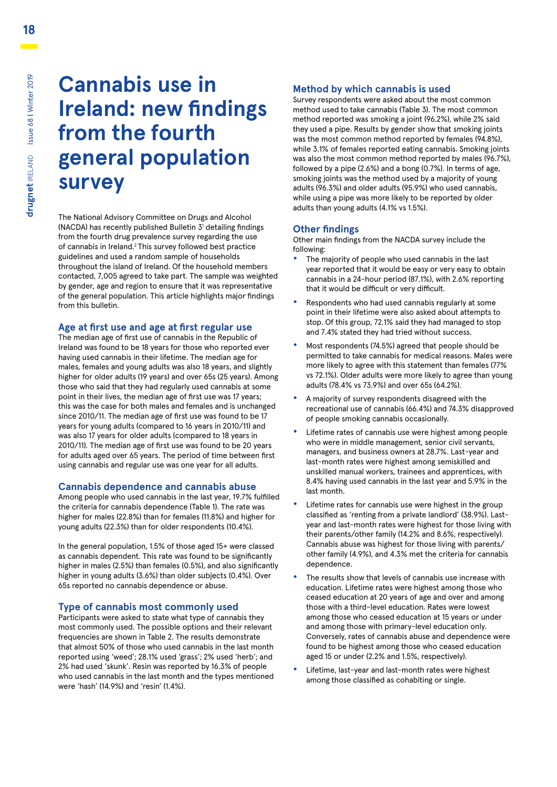# **Cannabis use in Ireland: new findings from the fourth general population survey**

The National Advisory Committee on Drugs and Alcohol (NACDA) has recently published Bulletin 3<sup>1</sup> detailing findings from the fourth drug prevalence survey regarding the use of cannabis in Ireland.2 This survey followed best practice guidelines and used a random sample of households throughout the island of Ireland. Of the household members contacted, 7,005 agreed to take part. The sample was weighted by gender, age and region to ensure that it was representative of the general population. This article highlights major findings from this bulletin.

#### **Age at first use and age at first regular use**

The median age of first use of cannabis in the Republic of Ireland was found to be 18 years for those who reported ever having used cannabis in their lifetime. The median age for males, females and young adults was also 18 years, and slightly higher for older adults (19 years) and over 65s (25 years). Among those who said that they had regularly used cannabis at some point in their lives, the median age of first use was 17 years; this was the case for both males and females and is unchanged since 2010/11. The median age of first use was found to be 17 years for young adults (compared to 16 years in 2010/11) and was also 17 years for older adults (compared to 18 years in 2010/11). The median age of first use was found to be 20 years for adults aged over 65 years. The period of time between first using cannabis and regular use was one year for all adults.

#### **Cannabis dependence and cannabis abuse**

Among people who used cannabis in the last year, 19.7% fulfilled the criteria for cannabis dependence (Table 1). The rate was higher for males (22.8%) than for females (11.8%) and higher for young adults (22.3%) than for older respondents (10.4%).

In the general population, 1.5% of those aged 15+ were classed as cannabis dependent. This rate was found to be significantly higher in males (2.5%) than females (0.5%), and also significantly higher in young adults (3.6%) than older subjects (0.4%). Over 65s reported no cannabis dependence or abuse.

#### **Type of cannabis most commonly used**

Participants were asked to state what type of cannabis they most commonly used. The possible options and their relevant frequencies are shown in Table 2. The results demonstrate that almost 50% of those who used cannabis in the last month reported using 'weed'; 28.1% used 'grass'; 2% used 'herb'; and 2% had used 'skunk'. Resin was reported by 16.3% of people who used cannabis in the last month and the types mentioned were 'hash' (14.9%) and 'resin' (1.4%).

#### **Method by which cannabis is used**

Survey respondents were asked about the most common method used to take cannabis (Table 3). The most common method reported was smoking a joint (96.2%), while 2% said they used a pipe. Results by gender show that smoking joints was the most common method reported by females (94.8%), while 3.1% of females reported eating cannabis. Smoking joints was also the most common method reported by males (96.7%), followed by a pipe (2.6%) and a bong (0.7%). In terms of age, smoking joints was the method used by a majority of young adults (96.3%) and older adults (95.9%) who used cannabis, while using a pipe was more likely to be reported by older adults than young adults (4.1% vs 1.5%).

#### **Other findings**

Other main findings from the NACDA survey include the following:

- **•** The majority of people who used cannabis in the last year reported that it would be easy or very easy to obtain cannabis in a 24-hour period (87.1%), with 2.6% reporting that it would be difficult or very difficult.
- **•** Respondents who had used cannabis regularly at some point in their lifetime were also asked about attempts to stop. Of this group, 72.1% said they had managed to stop and 7.4% stated they had tried without success.
- **•** Most respondents (74.5%) agreed that people should be permitted to take cannabis for medical reasons. Males were more likely to agree with this statement than females (77% vs 72.1%). Older adults were more likely to agree than young adults (78.4% vs 73.9%) and over 65s (64.2%).
- **•** A majority of survey respondents disagreed with the recreational use of cannabis (66.4%) and 74.3% disapproved of people smoking cannabis occasionally.
- **•** Lifetime rates of cannabis use were highest among people who were in middle management, senior civil servants, managers, and business owners at 28.7%. Last-year and last-month rates were highest among semiskilled and unskilled manual workers, trainees and apprentices, with 8.4% having used cannabis in the last year and 5.9% in the last month.
- **•** Lifetime rates for cannabis use were highest in the group classified as 'renting from a private landlord' (38.9%). Lastyear and last-month rates were highest for those living with their parents/other family (14.2% and 8.6%, respectively). Cannabis abuse was highest for those living with parents/ other family (4.9%), and 4.3% met the criteria for cannabis dependence.
- **•** The results show that levels of cannabis use increase with education. Lifetime rates were highest among those who ceased education at 20 years of age and over and among those with a third-level education. Rates were lowest among those who ceased education at 15 years or under and among those with primary-level education only. Conversely, rates of cannabis abuse and dependence were found to be highest among those who ceased education aged 15 or under (2.2% and 1.5%, respectively).
- **•** Lifetime, last-year and last-month rates were highest among those classified as cohabiting or single.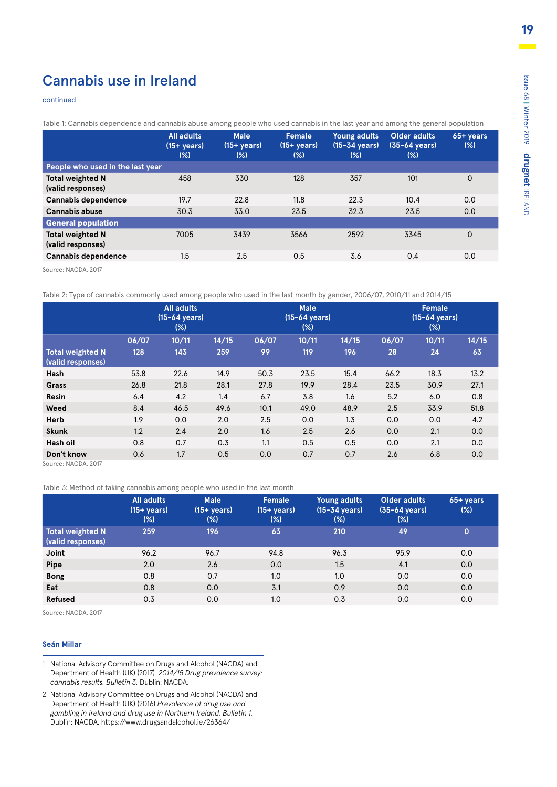### Cannabis use in Ireland

#### continued

Table 1: Cannabis dependence and cannabis abuse among people who used cannabis in the last year and among the general population

|                                              | <b>All adults</b><br>$(15 + \mathrm{years})$<br>$(\%)$ | <b>Male</b><br>$(15 + \mathrm{years})$<br>$(\%)$ | Female<br>$(15 + \mathrm{years})$<br>(% ) | Young adults<br>$(15-34 \text{ years})$<br>(% ) | <b>Older adults</b><br>$(35-64 \text{ years})$<br>(% ) | $65 + years$<br>(% ) |
|----------------------------------------------|--------------------------------------------------------|--------------------------------------------------|-------------------------------------------|-------------------------------------------------|--------------------------------------------------------|----------------------|
| People who used in the last year             |                                                        |                                                  |                                           |                                                 |                                                        |                      |
| <b>Total weighted N</b><br>(valid responses) | 458                                                    | 330                                              | 128                                       | 357                                             | 101                                                    | 0                    |
| Cannabis dependence                          | 19.7                                                   | 22.8                                             | 11.8                                      | 22.3                                            | 10.4                                                   | 0.0                  |
| Cannabis abuse                               | 30.3                                                   | 33.0                                             | 23.5                                      | 32.3                                            | 23.5                                                   | 0.0                  |
| <b>General population</b>                    |                                                        |                                                  |                                           |                                                 |                                                        |                      |
| <b>Total weighted N</b><br>(valid responses) | 7005                                                   | 3439                                             | 3566                                      | 2592                                            | 3345                                                   | 0                    |
| Cannabis dependence                          | 1.5                                                    | 2.5                                              | 0.5                                       | 3.6                                             | 0.4                                                    | 0.0                  |
|                                              |                                                        |                                                  |                                           |                                                 |                                                        |                      |

Source: NACDA, 2017

Table 2: Type of cannabis commonly used among people who used in the last month by gender, 2006/07, 2010/11 and 2014/15

|                                                 | <b>All adults</b><br>$(15-64 \text{ years})$<br>$(\%)$ |       |       | <b>Male</b><br>$(15-64 \text{ years})$<br>$(\%)$ |       |       | Female<br>(15-64 years)<br>$(\%)$ |       |       |
|-------------------------------------------------|--------------------------------------------------------|-------|-------|--------------------------------------------------|-------|-------|-----------------------------------|-------|-------|
|                                                 | 06/07                                                  | 10/11 | 14/15 | 06/07                                            | 10/11 | 14/15 | 06/07                             | 10/11 | 14/15 |
| <b>Total weighted N</b><br>(valid responses)    | 128                                                    | 143   | 259   | 99                                               | 119   | 196   | 28                                | 24    | 63    |
| Hash                                            | 53.8                                                   | 22.6  | 14.9  | 50.3                                             | 23.5  | 15.4  | 66.2                              | 18.3  | 13.2  |
| Grass                                           | 26.8                                                   | 21.8  | 28.1  | 27.8                                             | 19.9  | 28.4  | 23.5                              | 30.9  | 27.1  |
| <b>Resin</b>                                    | 6.4                                                    | 4.2   | 1.4   | 6.7                                              | 3.8   | 1.6   | 5.2                               | 6.0   | 0.8   |
| Weed                                            | 8.4                                                    | 46.5  | 49.6  | 10.1                                             | 49.0  | 48.9  | 2.5                               | 33.9  | 51.8  |
| Herb                                            | 1.9                                                    | 0.0   | 2.0   | 2.5                                              | 0.0   | 1.3   | 0.0                               | 0.0   | 4.2   |
| <b>Skunk</b>                                    | 1.2                                                    | 2.4   | 2.0   | 1.6                                              | 2.5   | 2.6   | 0.0                               | 2.1   | 0.0   |
| Hash oil                                        | 0.8                                                    | 0.7   | 0.3   | 1.1                                              | 0.5   | 0.5   | 0.0                               | 2.1   | 0.0   |
| Don't know<br>$C_{\text{Alirach}}$ NACDA $2017$ | 0.6                                                    | 1.7   | 0.5   | 0.0                                              | 0.7   | 0.7   | 2.6                               | 6.8   | 0.0   |

Source: NACDA, 2017

Table 3: Method of taking cannabis among people who used in the last month

|                                              | All adults<br>$(15 + \text{years})$<br>$(\%)$ | <b>Male</b><br>$(15 + \text{years})$<br>(%) | Female<br>$(15 + \mathrm{years})$<br>$(\%)$ | Young adults<br>$(15-34 \text{ years})$<br>$(\%)$ | Older adults<br>$(35-64 \text{ years})$<br>(%) | $65 + years$<br>$(\%)$ |
|----------------------------------------------|-----------------------------------------------|---------------------------------------------|---------------------------------------------|---------------------------------------------------|------------------------------------------------|------------------------|
| <b>Total weighted N</b><br>(valid responses) | 259                                           | 196                                         | 63                                          | 210                                               | 49                                             | $\mathbf{O}$           |
| Joint                                        | 96.2                                          | 96.7                                        | 94.8                                        | 96.3                                              | 95.9                                           | 0.0                    |
| Pipe                                         | 2.0                                           | 2.6                                         | 0.0                                         | 1.5                                               | 4.1                                            | 0.0                    |
| <b>Bong</b>                                  | 0.8                                           | 0.7                                         | 1.0                                         | 1.0                                               | 0.0                                            | 0.0                    |
| Eat                                          | 0.8                                           | 0.0                                         | 3.1                                         | 0.9                                               | 0.0                                            | 0.0                    |
| <b>Refused</b>                               | 0.3                                           | 0.0                                         | 1.0                                         | 0.3                                               | 0.0                                            | 0.0                    |

Source: NACDA, 2017

#### **Seán Millar**

- 1 National Advisory Committee on Drugs and Alcohol (NACDA) and Department of Health (UK) (2017) *2014/15 Drug prevalence survey: cannabis results. Bulletin 3.* Dublin: NACDA.
- 2 National Advisory Committee on Drugs and Alcohol (NACDA) and Department of Health (UK) (2016) *Prevalence of drug use and gambling in Ireland and drug use in Northern Ireland. Bulletin 1.* Dublin: NACDA. https://www.drugsandalcohol.ie/26364/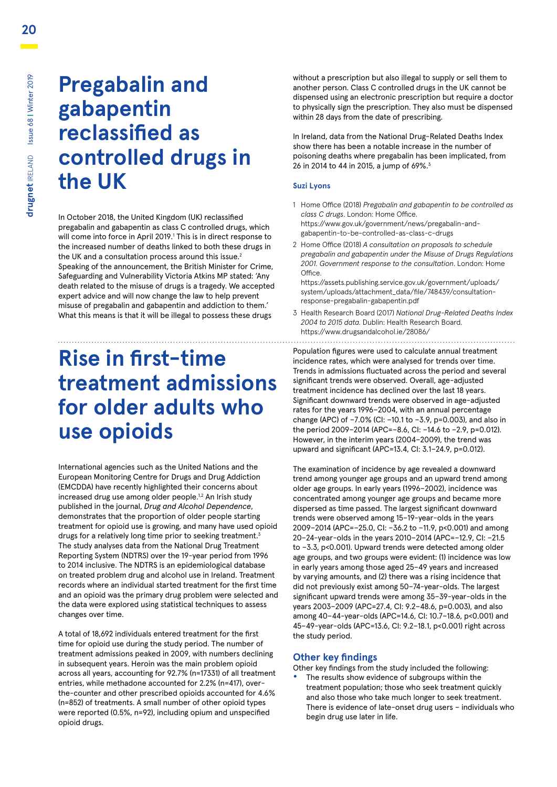# **Pregabalin and gabapentin reclassified as controlled drugs in the UK**

In October 2018, the United Kingdom (UK) reclassified pregabalin and gabapentin as class C controlled drugs, which will come into force in April 2019.1 This is in direct response to the increased number of deaths linked to both these drugs in the UK and a consultation process around this issue.<sup>2</sup> Speaking of the announcement, the British Minister for Crime, Safeguarding and Vulnerability Victoria Atkins MP stated: 'Any death related to the misuse of drugs is a tragedy. We accepted expert advice and will now change the law to help prevent misuse of pregabalin and gabapentin and addiction to them.' What this means is that it will be illegal to possess these drugs

# **Rise in first-time treatment admissions for older adults who use opioids**

International agencies such as the United Nations and the European Monitoring Centre for Drugs and Drug Addiction (EMCDDA) have recently highlighted their concerns about increased drug use among older people.<sup>1,2</sup> An Irish study published in the journal, *Drug and Alcohol Dependence*, demonstrates that the proportion of older people starting treatment for opioid use is growing, and many have used opioid drugs for a relatively long time prior to seeking treatment.<sup>3</sup> The study analyses data from the National Drug Treatment Reporting System (NDTRS) over the 19-year period from 1996 to 2014 inclusive. The NDTRS is an epidemiological database on treated problem drug and alcohol use in Ireland. Treatment records where an individual started treatment for the first time and an opioid was the primary drug problem were selected and the data were explored using statistical techniques to assess changes over time.

A total of 18,692 individuals entered treatment for the first time for opioid use during the study period. The number of treatment admissions peaked in 2009, with numbers declining in subsequent years. Heroin was the main problem opioid across all years, accounting for 92.7% (n=17331) of all treatment entries, while methadone accounted for 2.2% (n=417), overthe-counter and other prescribed opioids accounted for 4.6% (n=852) of treatments. A small number of other opioid types were reported (0.5%, n=92), including opium and unspecified opioid drugs.

without a prescription but also illegal to supply or sell them to another person. Class C controlled drugs in the UK cannot be dispensed using an electronic prescription but require a doctor to physically sign the prescription. They also must be dispensed within 28 days from the date of prescribing.

In Ireland, data from the National Drug-Related Deaths Index show there has been a notable increase in the number of poisoning deaths where pregabalin has been implicated, from 26 in 2014 to 44 in 2015, a jump of 69%.3

#### **Suzi Lyons**

- 1 Home Office (2018) *Pregabalin and gabapentin to be controlled as class C drugs*. London: Home Office. https://www.gov.uk/government/news/pregabalin-andgabapentin-to-be-controlled-as-class-c-drugs
- 2 Home Office (2018) *A consultation on proposals to schedule pregabalin and gabapentin under the Misuse of Drugs Regulations 2001. Government response to the consultation*. London: Home **Office**

https://assets.publishing.service.gov.uk/government/uploads/ system/uploads/attachment\_data/file/748439/consultationresponse-pregabalin-gabapentin.pdf

3 Health Research Board (2017) *National Drug-Related Deaths Index 2004 to 2015 data.* Dublin: Health Research Board. https://www.drugsandalcohol.ie/28086/

Population figures were used to calculate annual treatment incidence rates, which were analysed for trends over time. Trends in admissions fluctuated across the period and several significant trends were observed. Overall, age-adjusted treatment incidence has declined over the last 18 years. Significant downward trends were observed in age-adjusted rates for the years 1996−2004, with an annual percentage change (APC) of −7.0% (CI: −10.1 to −3.9, p=0.003), and also in the period 2009−2014 (APC=−8.6, CI: −14.6 to −2.9, p=0.012). However, in the interim years (2004−2009), the trend was upward and significant (APC=13.4, CI: 3.1−24.9, p=0.012).

The examination of incidence by age revealed a downward trend among younger age groups and an upward trend among older age groups. In early years (1996−2002), incidence was concentrated among younger age groups and became more dispersed as time passed. The largest significant downward trends were observed among 15−19-year-olds in the years 2009−2014 (APC=−25.0, CI: −36.2 to −11.9, p<0.001) and among 20−24-year-olds in the years 2010−2014 (APC=−12.9, CI: −21.5 to −3.3, p<0.001). Upward trends were detected among older age groups, and two groups were evident: (1) incidence was low in early years among those aged 25−49 years and increased by varying amounts, and (2) there was a rising incidence that did not previously exist among 50−74-year-olds. The largest significant upward trends were among 35−39-year-olds in the years 2003−2009 (APC=27.4, CI: 9.2−48.6, p=0.003), and also among 40−44-year-olds (APC=14.6, CI: 10.7−18.6, p<0.001) and 45−49-year-olds (APC=13.6, CI: 9.2−18.1, p<0.001) right across the study period.

#### **Other key findings**

- Other key findings from the study included the following:
- **•** The results show evidence of subgroups within the treatment population; those who seek treatment quickly and also those who take much longer to seek treatment. There is evidence of late-onset drug users – individuals who begin drug use later in life.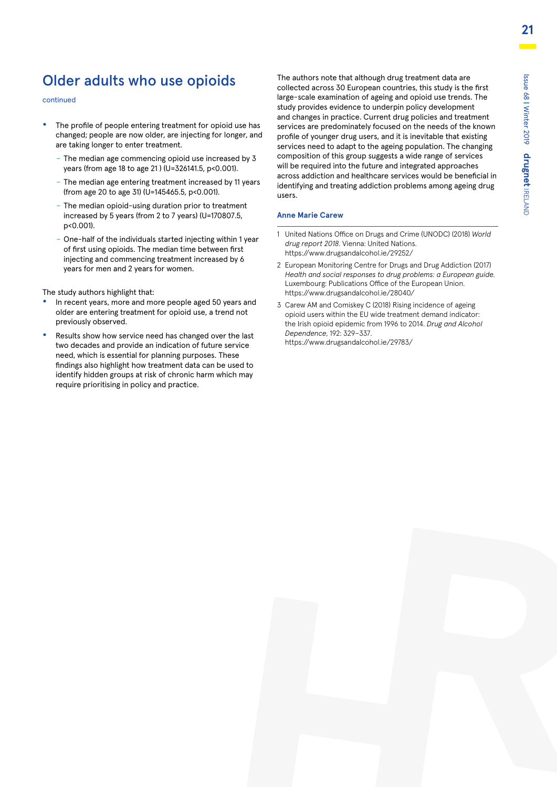### Older adults who use opioids

#### continued

- **•** The profile of people entering treatment for opioid use has changed; people are now older, are injecting for longer, and are taking longer to enter treatment.
	- The median age commencing opioid use increased by 3 years (from age 18 to age 21 ) (U=326141.5, p<0.001).
	- The median age entering treatment increased by 11 years (from age 20 to age 31) (U=145465.5, p<0.001).
	- The median opioid-using duration prior to treatment increased by 5 years (from 2 to 7 years) (U=170807.5, p<0.001).
	- One-half of the individuals started injecting within 1 year of first using opioids. The median time between first injecting and commencing treatment increased by 6 years for men and 2 years for women.

The study authors highlight that:

- **•** In recent years, more and more people aged 50 years and older are entering treatment for opioid use, a trend not previously observed.
- **•** Results show how service need has changed over the last two decades and provide an indication of future service need, which is essential for planning purposes. These findings also highlight how treatment data can be used to identify hidden groups at risk of chronic harm which may require prioritising in policy and practice.

The authors note that although drug treatment data are collected across 30 European countries, this study is the first large-scale examination of ageing and opioid use trends. The study provides evidence to underpin policy development and changes in practice. Current drug policies and treatment services are predominately focused on the needs of the known profile of younger drug users, and it is inevitable that existing services need to adapt to the ageing population. The changing composition of this group suggests a wide range of services will be required into the future and integrated approaches across addiction and healthcare services would be beneficial in identifying and treating addiction problems among ageing drug users.

#### **Anne Marie Carew**

- 1 United Nations Office on Drugs and Crime (UNODC) (2018) *World drug report 2018*. Vienna: United Nations. https://www.drugsandalcohol.ie/29252/
- 2 European Monitoring Centre for Drugs and Drug Addiction (2017) *Health and social responses to drug problems: a European guide.*  Luxembourg: Publications Office of the European Union. https://www.drugsandalcohol.ie/28040/
- 3 Carew AM and Comiskey C (2018) Rising incidence of ageing opioid users within the EU wide treatment demand indicator: the Irish opioid epidemic from 1996 to 2014. *Drug and Alcohol Dependence*, 192: 329–337.

https://www.drugsandalcohol.ie/29783/

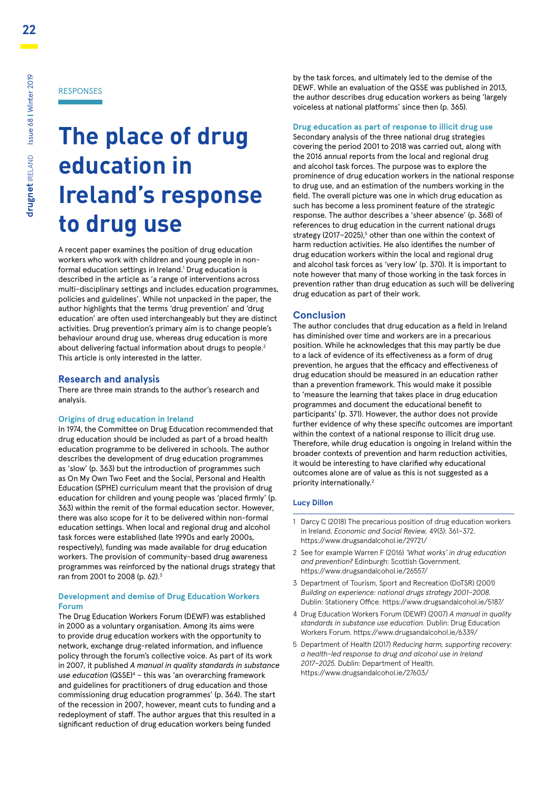# **The place of drug education in Ireland's response to drug use**

A recent paper examines the position of drug education workers who work with children and young people in nonformal education settings in Ireland.<sup>1</sup> Drug education is described in the article as 'a range of interventions across multi-disciplinary settings and includes education programmes, policies and guidelines'. While not unpacked in the paper, the author highlights that the terms 'drug prevention' and 'drug education' are often used interchangeably but they are distinct activities. Drug prevention's primary aim is to change people's behaviour around drug use, whereas drug education is more about delivering factual information about drugs to people.<sup>2</sup> This article is only interested in the latter.

#### **Research and analysis**

There are three main strands to the author's research and analysis.

#### **Origins of drug education in Ireland**

In 1974, the Committee on Drug Education recommended that drug education should be included as part of a broad health education programme to be delivered in schools. The author describes the development of drug education programmes as 'slow' (p. 363) but the introduction of programmes such as On My Own Two Feet and the Social, Personal and Health Education (SPHE) curriculum meant that the provision of drug education for children and young people was 'placed firmly' (p. 363) within the remit of the formal education sector. However, there was also scope for it to be delivered within non-formal education settings. When local and regional drug and alcohol task forces were established (late 1990s and early 2000s, respectively), funding was made available for drug education workers. The provision of community-based drug awareness programmes was reinforced by the national drugs strategy that ran from 2001 to 2008 (p. 62).3

#### **Development and demise of Drug Education Workers Forum**

The Drug Education Workers Forum (DEWF) was established in 2000 as a voluntary organisation. Among its aims were to provide drug education workers with the opportunity to network, exchange drug-related information, and influence policy through the forum's collective voice. As part of its work in 2007, it published *A manual in quality standards in substance*  use education (QSSE)<sup>4</sup> - this was 'an overarching framework and guidelines for practitioners of drug education and those commissioning drug education programmes' (p. 364). The start of the recession in 2007, however, meant cuts to funding and a redeployment of staff. The author argues that this resulted in a significant reduction of drug education workers being funded

by the task forces, and ultimately led to the demise of the DEWF. While an evaluation of the QSSE was published in 2013, the author describes drug education workers as being 'largely voiceless at national platforms' since then (p. 365).

#### **Drug education as part of response to illicit drug use**

Secondary analysis of the three national drug strategies covering the period 2001 to 2018 was carried out, along with the 2016 annual reports from the local and regional drug and alcohol task forces. The purpose was to explore the prominence of drug education workers in the national response to drug use, and an estimation of the numbers working in the field. The overall picture was one in which drug education as such has become a less prominent feature of the strategic response. The author describes a 'sheer absence' (p. 368) of references to drug education in the current national drugs strategy (2017-2025),<sup>5</sup> other than one within the context of harm reduction activities. He also identifies the number of drug education workers within the local and regional drug and alcohol task forces as 'very low' (p. 370). It is important to note however that many of those working in the task forces in prevention rather than drug education as such will be delivering drug education as part of their work.

#### **Conclusion**

The author concludes that drug education as a field in Ireland has diminished over time and workers are in a precarious position. While he acknowledges that this may partly be due to a lack of evidence of its effectiveness as a form of drug prevention, he argues that the efficacy and effectiveness of drug education should be measured in an education rather than a prevention framework. This would make it possible to 'measure the learning that takes place in drug education programmes and document the educational benefit to participants' (p. 371). However, the author does not provide further evidence of why these specific outcomes are important within the context of a national response to illicit drug use. Therefore, while drug education is ongoing in Ireland within the broader contexts of prevention and harm reduction activities, it would be interesting to have clarified why educational outcomes alone are of value as this is not suggested as a priority internationally.<sup>2</sup>

#### **Lucy Dillon**

- 1 Darcy C (2018) The precarious position of drug education workers in Ireland. *Economic and Social Review,* 49(3): 361–372. https://www.drugsandalcohol.ie/29721/
- 2 See for example Warren F (2016) *'What works' in drug education and prevention?* Edinburgh: Scottish Government. https://www.drugsandalcohol.ie/26557/
- 3 Department of Tourism, Sport and Recreation (DoTSR) (2001) *Building on experience: national drugs strategy 2001–2008.*  Dublin: Stationery Office. https://www.drugsandalcohol.ie/5187/
- 4 Drug Education Workers Forum (DEWF) (2007) *A manual in quality standards in substance use education.* Dublin: Drug Education Workers Forum. https://www.drugsandalcohol.ie/6339/
- 5 Department of Health (2017) *Reducing harm, supporting recovery: a health-led response to drug and alcohol use in Ireland 2017–2025.* Dublin: Department of Health. https://www.drugsandalcohol.ie/27603/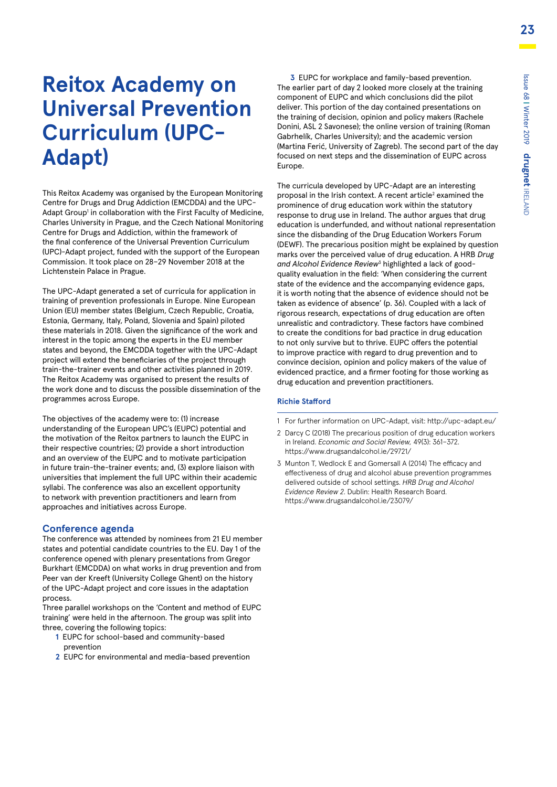# **Reitox Academy on Universal Prevention Curriculum (UPC-Adapt)**

This Reitox Academy was organised by the European Monitoring Centre for Drugs and Drug Addiction (EMCDDA) and the UPC-Adapt Group<sup>1</sup> in collaboration with the First Faculty of Medicine, Charles University in Prague, and the Czech National Monitoring Centre for Drugs and Addiction, within the framework of the final conference of the Universal Prevention Curriculum (UPC)-Adapt project, funded with the support of the European Commission. It took place on 28–29 November 2018 at the Lichtenstein Palace in Prague.

The UPC-Adapt generated a set of curricula for application in training of prevention professionals in Europe. Nine European Union (EU) member states (Belgium, Czech Republic, Croatia, Estonia, Germany, Italy, Poland, Slovenia and Spain) piloted these materials in 2018. Given the significance of the work and interest in the topic among the experts in the EU member states and beyond, the EMCDDA together with the UPC-Adapt project will extend the beneficiaries of the project through train-the-trainer events and other activities planned in 2019. The Reitox Academy was organised to present the results of the work done and to discuss the possible dissemination of the programmes across Europe.

The objectives of the academy were to: (1) increase understanding of the European UPC's (EUPC) potential and the motivation of the Reitox partners to launch the EUPC in their respective countries; (2) provide a short introduction and an overview of the EUPC and to motivate participation in future train-the-trainer events; and, (3) explore liaison with universities that implement the full UPC within their academic syllabi. The conference was also an excellent opportunity to network with prevention practitioners and learn from approaches and initiatives across Europe.

#### **Conference agenda**

The conference was attended by nominees from 21 EU member states and potential candidate countries to the EU. Day 1 of the conference opened with plenary presentations from Gregor Burkhart (EMCDDA) on what works in drug prevention and from Peer van der Kreeft (University College Ghent) on the history of the UPC-Adapt project and core issues in the adaptation process.

Three parallel workshops on the 'Content and method of EUPC training' were held in the afternoon. The group was split into three, covering the following topics:

- **1** EUPC for school-based and community-based prevention
- **2** EUPC for environmental and media-based prevention

**3** EUPC for workplace and family-based prevention. The earlier part of day 2 looked more closely at the training component of EUPC and which conclusions did the pilot deliver. This portion of the day contained presentations on the training of decision, opinion and policy makers (Rachele Donini, ASL 2 Savonese); the online version of training (Roman Gabrhelík, Charles University); and the academic version (Martina Ferić, University of Zagreb). The second part of the day focused on next steps and the dissemination of EUPC across Europe.

The curricula developed by UPC-Adapt are an interesting proposal in the Irish context. A recent article<sup>2</sup> examined the prominence of drug education work within the statutory response to drug use in Ireland. The author argues that drug education is underfunded, and without national representation since the disbanding of the Drug Education Workers Forum (DEWF). The precarious position might be explained by question marks over the perceived value of drug education. A HRB *Drug*  and Alcohol Evidence Review<sup>3</sup> highlighted a lack of goodquality evaluation in the field: 'When considering the current state of the evidence and the accompanying evidence gaps, it is worth noting that the absence of evidence should not be taken as evidence of absence' (p. 36). Coupled with a lack of rigorous research, expectations of drug education are often unrealistic and contradictory. These factors have combined to create the conditions for bad practice in drug education to not only survive but to thrive. EUPC offers the potential to improve practice with regard to drug prevention and to convince decision, opinion and policy makers of the value of evidenced practice, and a firmer footing for those working as drug education and prevention practitioners.

#### **Richie Stafford**

- 1 For further information on UPC-Adapt, visit: http://upc-adapt.eu/
- 2 Darcy C (2018) The precarious position of drug education workers in Ireland. *Economic and Social Review,* 49(3): 361–372. https://www.drugsandalcohol.ie/29721/
- 3 Munton T, Wedlock E and Gomersall A (2014) The efficacy and effectiveness of drug and alcohol abuse prevention programmes delivered outside of school settings. *HRB Drug and Alcohol Evidence Review 2*. Dublin: Health Research Board. https://www.drugsandalcohol.ie/23079/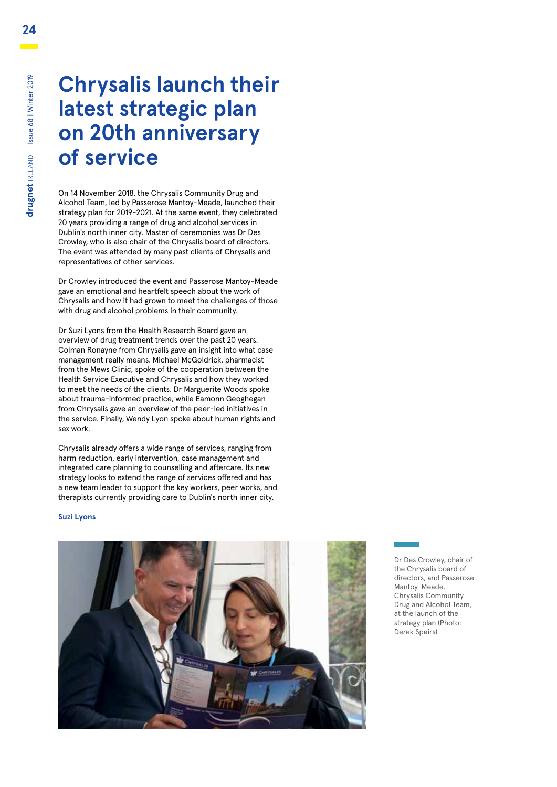# **Chrysalis launch their latest strategic plan on 20th anniversary of service**

On 14 November 2018, the Chrysalis Community Drug and Alcohol Team, led by Passerose Mantoy-Meade, launched their strategy plan for 2019-2021. At the same event, they celebrated 20 years providing a range of drug and alcohol services in Dublin's north inner city. Master of ceremonies was Dr Des Crowley, who is also chair of the Chrysalis board of directors. The event was attended by many past clients of Chrysalis and representatives of other services.

Dr Crowley introduced the event and Passerose Mantoy-Meade gave an emotional and heartfelt speech about the work of Chrysalis and how it had grown to meet the challenges of those with drug and alcohol problems in their community.

Dr Suzi Lyons from the Health Research Board gave an overview of drug treatment trends over the past 20 years. Colman Ronayne from Chrysalis gave an insight into what case management really means. Michael McGoldrick, pharmacist from the Mews Clinic, spoke of the cooperation between the Health Service Executive and Chrysalis and how they worked to meet the needs of the clients. Dr Marguerite Woods spoke about trauma-informed practice, while Eamonn Geoghegan from Chrysalis gave an overview of the peer-led initiatives in the service. Finally, Wendy Lyon spoke about human rights and sex work.

Chrysalis already offers a wide range of services, ranging from harm reduction, early intervention, case management and integrated care planning to counselling and aftercare. Its new strategy looks to extend the range of services offered and has a new team leader to support the key workers, peer works, and therapists currently providing care to Dublin's north inner city.

#### **Suzi Lyons**



Dr Des Crowley, chair of the Chrysalis board of directors, and Passerose Mantoy-Meade, Chrysalis Community Drug and Alcohol Team, at the launch of the strategy plan (Photo: Derek Speirs)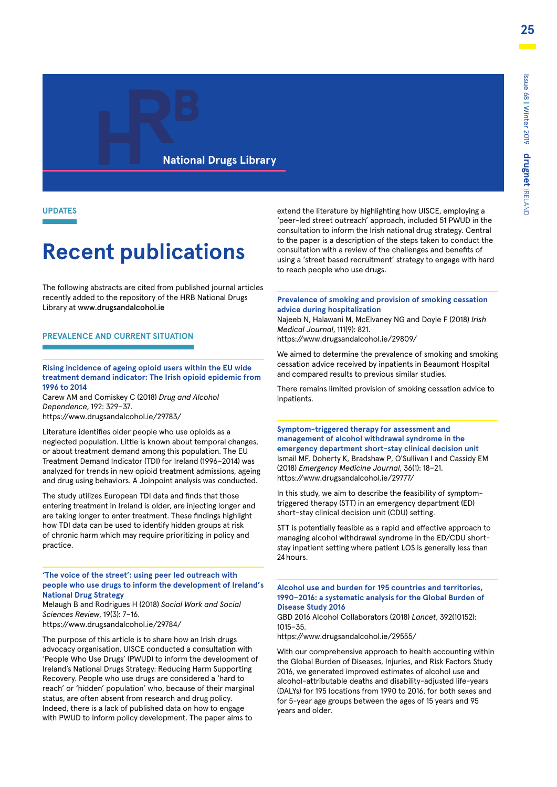#### **National Drugs Library**

**UPDATES**

# **Recent publications**

The following abstracts are cited from published journal articles recently added to the repository of the HRB National Drugs Library at www.drugsandalcohol.ie

#### **PREVALENCE AND CURRENT SITUATION**

#### **Rising incidence of ageing opioid users within the EU wide treatment demand indicator: The Irish opioid epidemic from 1996 to 2014**

Carew AM and Comiskey C (2018) *Drug and Alcohol Dependence*, 192: 329–37. https://www.drugsandalcohol.ie/29783/

Literature identifies older people who use opioids as a neglected population. Little is known about temporal changes, or about treatment demand among this population. The EU Treatment Demand Indicator (TDI) for Ireland (1996–2014) was analyzed for trends in new opioid treatment admissions, ageing and drug using behaviors. A Joinpoint analysis was conducted.

The study utilizes European TDI data and finds that those entering treatment in Ireland is older, are injecting longer and are taking longer to enter treatment. These findings highlight how TDI data can be used to identify hidden groups at risk of chronic harm which may require prioritizing in policy and practice.

**'The voice of the street': using peer led outreach with people who use drugs to inform the development of Ireland's National Drug Strategy**

Melaugh B and Rodrigues H (2018) *Social Work and Social Sciences Review*, 19(3): 7–16.

https://www.drugsandalcohol.ie/29784/

The purpose of this article is to share how an Irish drugs advocacy organisation, UISCE conducted a consultation with 'People Who Use Drugs' (PWUD) to inform the development of Ireland's National Drugs Strategy: Reducing Harm Supporting Recovery. People who use drugs are considered a 'hard to reach' or 'hidden' population' who, because of their marginal status, are often absent from research and drug policy. Indeed, there is a lack of published data on how to engage with PWUD to inform policy development. The paper aims to

extend the literature by highlighting how UISCE, employing a 'peer-led street outreach' approach, included 51 PWUD in the consultation to inform the Irish national drug strategy. Central to the paper is a description of the steps taken to conduct the consultation with a review of the challenges and benefits of using a 'street based recruitment' strategy to engage with hard to reach people who use drugs.

**Prevalence of smoking and provision of smoking cessation advice during hospitalization**

Najeeb N, Halawani M, McElvaney NG and Doyle F (2018) *Irish Medical Journal*, 111(9): 821.

https://www.drugsandalcohol.ie/29809/

We aimed to determine the prevalence of smoking and smoking cessation advice received by inpatients in Beaumont Hospital and compared results to previous similar studies.

There remains limited provision of smoking cessation advice to inpatients.

**Symptom-triggered therapy for assessment and management of alcohol withdrawal syndrome in the emergency department short-stay clinical decision unit** Ismail MF, Doherty K, Bradshaw P, O'Sullivan I and Cassidy EM (2018) *Emergency Medicine Journal*, 36(1): 18–21. https://www.drugsandalcohol.ie/29777/

In this study, we aim to describe the feasibility of symptomtriggered therapy (STT) in an emergency department (ED) short-stay clinical decision unit (CDU) setting.

STT is potentially feasible as a rapid and effective approach to managing alcohol withdrawal syndrome in the ED/CDU shortstay inpatient setting where patient LOS is generally less than 24 hours.

#### **Alcohol use and burden for 195 countries and territories, 1990–2016: a systematic analysis for the Global Burden of Disease Study 2016**

GBD 2016 Alcohol Collaborators (2018) *Lancet*, 392(10152): 1015–35.

https://www.drugsandalcohol.ie/29555/

With our comprehensive approach to health accounting within the Global Burden of Diseases, Injuries, and Risk Factors Study 2016, we generated improved estimates of alcohol use and alcohol-attributable deaths and disability-adjusted life-years (DALYs) for 195 locations from 1990 to 2016, for both sexes and for 5-year age groups between the ages of 15 years and 95 years and older.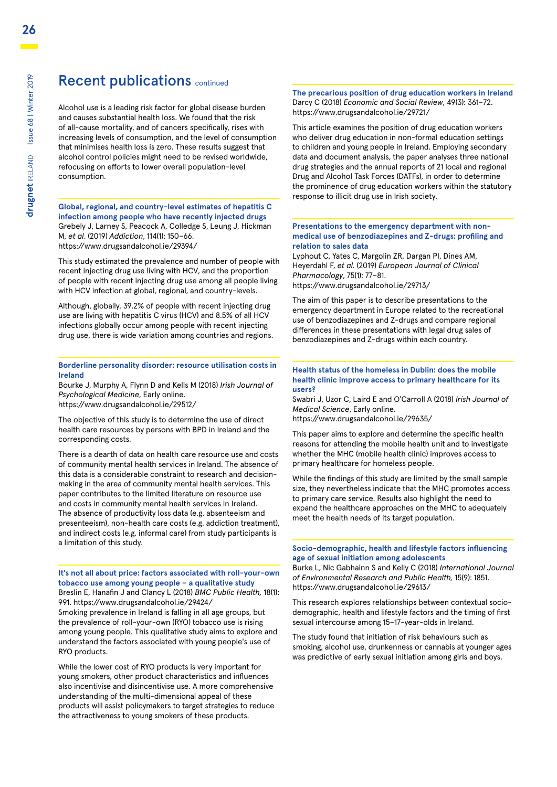### Recent publications continued

Alcohol use is a leading risk factor for global disease burden and causes substantial health loss. We found that the risk of all-cause mortality, and of cancers specifically, rises with increasing levels of consumption, and the level of consumption that minimises health loss is zero. These results suggest that alcohol control policies might need to be revised worldwide, refocusing on efforts to lower overall population-level consumption.

**Global, regional, and country-level estimates of hepatitis C infection among people who have recently injected drugs** Grebely J, Larney S, Peacock A, Colledge S, Leung J, Hickman M, *et al*. (2019) *Addiction*, 114(1): 150–66. https://www.drugsandalcohol.ie/29394/

This study estimated the prevalence and number of people with recent injecting drug use living with HCV, and the proportion of people with recent injecting drug use among all people living with HCV infection at global, regional, and country-levels.

Although, globally, 39.2% of people with recent injecting drug use are living with hepatitis C virus (HCV) and 8.5% of all HCV infections globally occur among people with recent injecting drug use, there is wide variation among countries and regions.

#### **Borderline personality disorder: resource utilisation costs in Ireland**

Bourke J, Murphy A, Flynn D and Kells M (2018) *Irish Journal of Psychological Medicine*, Early online. https://www.drugsandalcohol.ie/29512/

The objective of this study is to determine the use of direct health care resources by persons with BPD in Ireland and the corresponding costs.

There is a dearth of data on health care resource use and costs of community mental health services in Ireland. The absence of this data is a considerable constraint to research and decisionmaking in the area of community mental health services. This paper contributes to the limited literature on resource use and costs in community mental health services in Ireland. The absence of productivity loss data (e.g. absenteeism and presenteeism), non-health care costs (e.g. addiction treatment), and indirect costs (e.g. informal care) from study participants is a limitation of this study.

**It's not all about price: factors associated with roll-your-own tobacco use among young people – a qualitative study** Breslin E, Hanafin J and Clancy L (2018) *BMC Public Health,* 18(1):

991. https://www.drugsandalcohol.ie/29424/ Smoking prevalence in Ireland is falling in all age groups, but the prevalence of roll-your-own (RYO) tobacco use is rising among young people. This qualitative study aims to explore and understand the factors associated with young people's use of RYO products.

While the lower cost of RYO products is very important for young smokers, other product characteristics and influences also incentivise and disincentivise use. A more comprehensive understanding of the multi-dimensional appeal of these products will assist policymakers to target strategies to reduce the attractiveness to young smokers of these products.

**The precarious position of drug education workers in Ireland**  Darcy C (2018) *Economic and Social Review*, 49(3): 361–72. https://www.drugsandalcohol.ie/29721/

This article examines the position of drug education workers who deliver drug education in non-formal education settings to children and young people in Ireland. Employing secondary data and document analysis, the paper analyses three national drug strategies and the annual reports of 21 local and regional Drug and Alcohol Task Forces (DATFs), in order to determine the prominence of drug education workers within the statutory response to illicit drug use in Irish society.

#### **Presentations to the emergency department with nonmedical use of benzodiazepines and Z-drugs: profiling and relation to sales data**

Lyphout C, Yates C, Margolin ZR, Dargan PI, Dines AM, Heyerdahl F, *et al.* (2019) *European Journal of Clinical Pharmacology*, 75(1): 77–81. https://www.drugsandalcohol.ie/29713/

The aim of this paper is to describe presentations to the emergency department in Europe related to the recreational use of benzodiazepines and Z-drugs and compare regional differences in these presentations with legal drug sales of benzodiazepines and Z-drugs within each country.

#### **Health status of the homeless in Dublin: does the mobile health clinic improve access to primary healthcare for its users?**

Swabri J, Uzor C, Laird E and O'Carroll A (2018) *Irish Journal of Medical Science*, Early online.

https://www.drugsandalcohol.ie/29635/

This paper aims to explore and determine the specific health reasons for attending the mobile health unit and to investigate whether the MHC (mobile health clinic) improves access to primary healthcare for homeless people.

While the findings of this study are limited by the small sample size, they nevertheless indicate that the MHC promotes access to primary care service. Results also highlight the need to expand the healthcare approaches on the MHC to adequately meet the health needs of its target population.

#### **Socio-demographic, health and lifestyle factors influencing age of sexual initiation among adolescents**

Burke L, Nic Gabhainn S and Kelly C (2018) *International Journal of Environmental Research and Public Health,* 15(9): 1851. https://www.drugsandalcohol.ie/29613/

This research explores relationships between contextual sociodemographic, health and lifestyle factors and the timing of first sexual intercourse among 15–17-year-olds in Ireland.

The study found that initiation of risk behaviours such as smoking, alcohol use, drunkenness or cannabis at younger ages was predictive of early sexual initiation among girls and boys.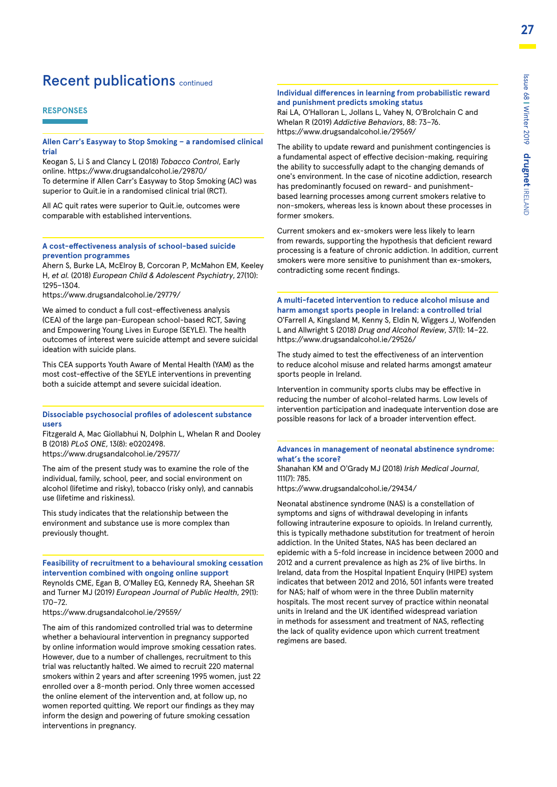### Recent publications continued

#### **RESPONSES**

#### **Allen Carr's Easyway to Stop Smoking – a randomised clinical trial**

Keogan S, Li S and Clancy L (2018) *Tobacco Control*, Early online. https://www.drugsandalcohol.ie/29870/ To determine if Allen Carr's Easyway to Stop Smoking (AC) was superior to Quit.ie in a randomised clinical trial (RCT).

All AC quit rates were superior to Quit.ie, outcomes were comparable with established interventions.

#### **A cost-effectiveness analysis of school-based suicide prevention programmes**

Ahern S, Burke LA, McElroy B, Corcoran P, McMahon EM, Keeley H, *et al.* (2018) *European Child & Adolescent Psychiatry*, 27(10): 1295–1304.

https://www.drugsandalcohol.ie/29779/

We aimed to conduct a full cost-effectiveness analysis (CEA) of the large pan-European school-based RCT, Saving and Empowering Young Lives in Europe (SEYLE). The health outcomes of interest were suicide attempt and severe suicidal ideation with suicide plans.

This CEA supports Youth Aware of Mental Health (YAM) as the most cost-effective of the SEYLE interventions in preventing both a suicide attempt and severe suicidal ideation.

#### **Dissociable psychosocial profiles of adolescent substance users**

Fitzgerald A, Mac Giollabhui N, Dolphin L, Whelan R and Dooley B (2018) *PLoS ONE*, 13(8): e0202498. https://www.drugsandalcohol.ie/29577/

The aim of the present study was to examine the role of the

individual, family, school, peer, and social environment on alcohol (lifetime and risky), tobacco (risky only), and cannabis use (lifetime and riskiness).

This study indicates that the relationship between the environment and substance use is more complex than previously thought.

**Feasibility of recruitment to a behavioural smoking cessation intervention combined with ongoing online support** Reynolds CME, Egan B, O'Malley EG, Kennedy RA, Sheehan SR and Turner MJ (2019*) European Journal of Public Health*, 29(1): 170–72.

https://www.drugsandalcohol.ie/29559/

The aim of this randomized controlled trial was to determine whether a behavioural intervention in pregnancy supported by online information would improve smoking cessation rates. However, due to a number of challenges, recruitment to this trial was reluctantly halted. We aimed to recruit 220 maternal smokers within 2 years and after screening 1995 women, just 22 enrolled over a 8-month period. Only three women accessed the online element of the intervention and, at follow up, no women reported quitting. We report our findings as they may inform the design and powering of future smoking cessation interventions in pregnancy.

#### **Individual differences in learning from probabilistic reward and punishment predicts smoking status**

Rai LA, O'Halloran L, Jollans L, Vahey N, O'Brolchain C and Whelan R (2019) *Addictive Behaviors*, 88: 73–76. https://www.drugsandalcohol.ie/29569/

The ability to update reward and punishment contingencies is a fundamental aspect of effective decision-making, requiring the ability to successfully adapt to the changing demands of one's environment. In the case of nicotine addiction, research has predominantly focused on reward- and punishmentbased learning processes among current smokers relative to non-smokers, whereas less is known about these processes in former smokers.

Current smokers and ex-smokers were less likely to learn from rewards, supporting the hypothesis that deficient reward processing is a feature of chronic addiction. In addition, current smokers were more sensitive to punishment than ex-smokers, contradicting some recent findings.

**A multi-faceted intervention to reduce alcohol misuse and harm amongst sports people in Ireland: a controlled trial** O'Farrell A, Kingsland M, Kenny S, Eldin N, Wiggers J, Wolfenden L and Allwright S (2018) *Drug and Alcohol Review*, 37(1): 14–22. https://www.drugsandalcohol.ie/29526/

The study aimed to test the effectiveness of an intervention to reduce alcohol misuse and related harms amongst amateur sports people in Ireland.

Intervention in community sports clubs may be effective in reducing the number of alcohol-related harms. Low levels of intervention participation and inadequate intervention dose are possible reasons for lack of a broader intervention effect.

#### **Advances in management of neonatal abstinence syndrome: what's the score?**

Shanahan KM and O'Grady MJ (2018) *Irish Medical Journal*, 111(7): 785.

https://www.drugsandalcohol.ie/29434/

Neonatal abstinence syndrome (NAS) is a constellation of symptoms and signs of withdrawal developing in infants following intrauterine exposure to opioids. In Ireland currently, this is typically methadone substitution for treatment of heroin addiction. In the United States, NAS has been declared an epidemic with a 5-fold increase in incidence between 2000 and 2012 and a current prevalence as high as 2% of live births. In Ireland, data from the Hospital Inpatient Enquiry (HIPE) system indicates that between 2012 and 2016, 501 infants were treated for NAS; half of whom were in the three Dublin maternity hospitals. The most recent survey of practice within neonatal units in Ireland and the UK identified widespread variation in methods for assessment and treatment of NAS, reflecting the lack of quality evidence upon which current treatment regimens are based.